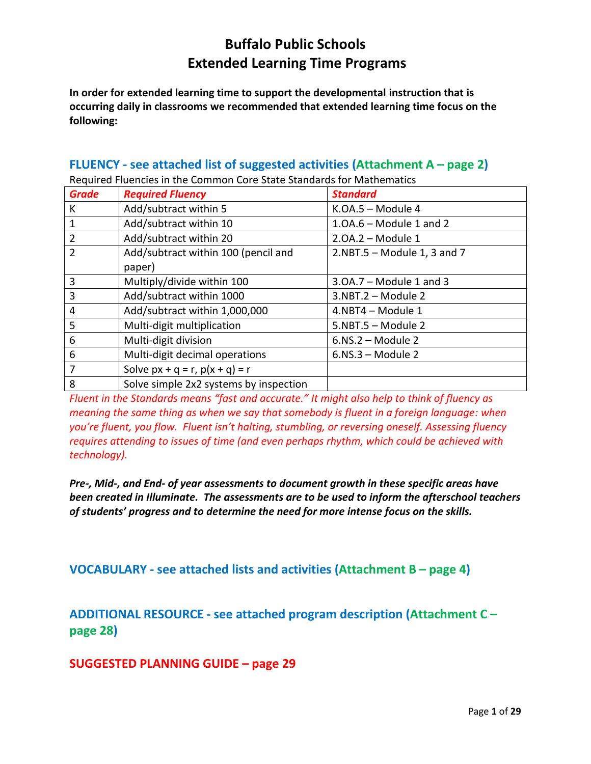**In order for extended learning time to support the developmental instruction that is occurring daily in classrooms we recommended that extended learning time focus on the following:**

#### **FLUENCY - see attached list of suggested activities (Attachment A – page 2)**

| .              |                                        |                               |  |
|----------------|----------------------------------------|-------------------------------|--|
| <b>Grade</b>   | <b>Required Fluency</b>                | <b>Standard</b>               |  |
| К              | Add/subtract within 5                  | $K.OA.5 - Module 4$           |  |
| $\overline{1}$ | Add/subtract within 10                 | $1.0A.6$ – Module 1 and 2     |  |
| $\overline{2}$ | Add/subtract within 20                 | $2.0A.2$ – Module 1           |  |
| $\overline{2}$ | Add/subtract within 100 (pencil and    | $2.NBT.5$ – Module 1, 3 and 7 |  |
|                | paper)                                 |                               |  |
| $\overline{3}$ | Multiply/divide within 100             | $3.0A.7 - Module 1$ and 3     |  |
| $\overline{3}$ | Add/subtract within 1000               | 3.NBT.2 - Module 2            |  |
| 4              | Add/subtract within 1,000,000          | 4.NBT4 - Module 1             |  |
| 5              | Multi-digit multiplication             | $5.NBT.5 - Module 2$          |  |
| 6              | Multi-digit division                   | $6.NS.2 - Module 2$           |  |
| 6              | Multi-digit decimal operations         | $6.NS.3 - Module 2$           |  |
| $\overline{7}$ | Solve $px + q = r$ , $p(x + q) = r$    |                               |  |
| 8              | Solve simple 2x2 systems by inspection |                               |  |

Required Fluencies in the Common Core State Standards for Mathematics

*Fluent in the Standards means "fast and accurate." It might also help to think of fluency as meaning the same thing as when we say that somebody is fluent in a foreign language: when you're fluent, you flow. Fluent isn't halting, stumbling, or reversing oneself. Assessing fluency requires attending to issues of time (and even perhaps rhythm, which could be achieved with technology).* 

*Pre-, Mid-, and End- of year assessments to document growth in these specific areas have been created in Illuminate. The assessments are to be used to inform the afterschool teachers of students' progress and to determine the need for more intense focus on the skills.*

**VOCABULARY - see attached lists and activities (Attachment B – page 4)**

**ADDITIONAL RESOURCE - see attached program description (Attachment C – page 28)**

**SUGGESTED PLANNING GUIDE – page 29**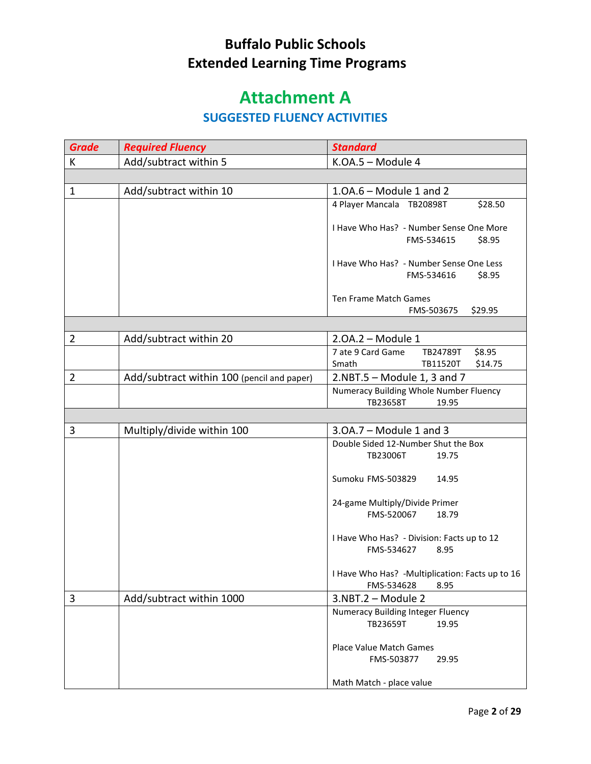# **Attachment A**

#### **SUGGESTED FLUENCY ACTIVITIES**

| <b>Grade</b>   | <b>Required Fluency</b>                    | <b>Standard</b>                                        |
|----------------|--------------------------------------------|--------------------------------------------------------|
| K              | Add/subtract within 5                      | K.OA.5 - Module 4                                      |
|                |                                            |                                                        |
| $\mathbf{1}$   | Add/subtract within 10                     | $1.0A.6$ – Module 1 and 2                              |
|                |                                            | 4 Player Mancala TB20898T<br>\$28.50                   |
|                |                                            |                                                        |
|                |                                            | I Have Who Has? - Number Sense One More<br>FMS-534615  |
|                |                                            | \$8.95                                                 |
|                |                                            | I Have Who Has? - Number Sense One Less                |
|                |                                            | FMS-534616<br>\$8.95                                   |
|                |                                            |                                                        |
|                |                                            | Ten Frame Match Games<br>\$29.95<br>FMS-503675         |
|                |                                            |                                                        |
| $\overline{2}$ | Add/subtract within 20                     | $2.0A.2$ – Module 1                                    |
|                |                                            | \$8.95<br>7 ate 9 Card Game<br>TB24789T                |
|                |                                            | Smath<br>TB11520T<br>\$14.75                           |
| $\overline{2}$ | Add/subtract within 100 (pencil and paper) | $2.NBT.5$ – Module 1, 3 and 7                          |
|                |                                            | Numeracy Building Whole Number Fluency                 |
|                |                                            | TB23658T<br>19.95                                      |
|                |                                            |                                                        |
| 3              | Multiply/divide within 100                 | $3.0A.7 - Module 1$ and 3                              |
|                |                                            | Double Sided 12-Number Shut the Box                    |
|                |                                            | TB23006T<br>19.75                                      |
|                |                                            | Sumoku FMS-503829<br>14.95                             |
|                |                                            |                                                        |
|                |                                            | 24-game Multiply/Divide Primer                         |
|                |                                            | FMS-520067<br>18.79                                    |
|                |                                            | I Have Who Has? - Division: Facts up to 12             |
|                |                                            | FMS-534627<br>8.95                                     |
|                |                                            |                                                        |
|                |                                            | I Have Who Has? - Multiplication: Facts up to 16       |
|                |                                            | FMS-534628<br>8.95                                     |
| 3              | Add/subtract within 1000                   | 3.NBT.2 - Module 2                                     |
|                |                                            | Numeracy Building Integer Fluency<br>TB23659T<br>19.95 |
|                |                                            |                                                        |
|                |                                            |                                                        |
|                |                                            | Place Value Match Games                                |
|                |                                            | FMS-503877<br>29.95                                    |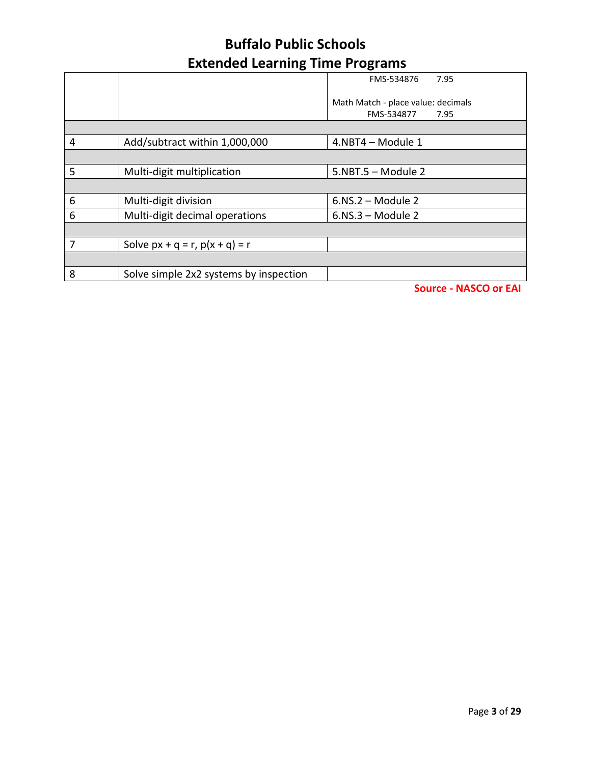|   |                                        | 7.95<br>FMS-534876                 |
|---|----------------------------------------|------------------------------------|
|   |                                        | Math Match - place value: decimals |
|   |                                        | FMS-534877<br>7.95                 |
|   |                                        |                                    |
| 4 | Add/subtract within 1,000,000          | 4.NBT4 - Module 1                  |
|   |                                        |                                    |
| 5 | Multi-digit multiplication             | 5.NBT.5 - Module 2                 |
|   |                                        |                                    |
| 6 | Multi-digit division                   | $6.NS.2 - Module 2$                |
| 6 | Multi-digit decimal operations         | $6.NS.3 - Module 2$                |
|   |                                        |                                    |
| 7 | Solve $px + q = r$ , $p(x + q) = r$    |                                    |
|   |                                        |                                    |
| 8 | Solve simple 2x2 systems by inspection |                                    |
|   |                                        |                                    |

**Source - NASCO or EAI**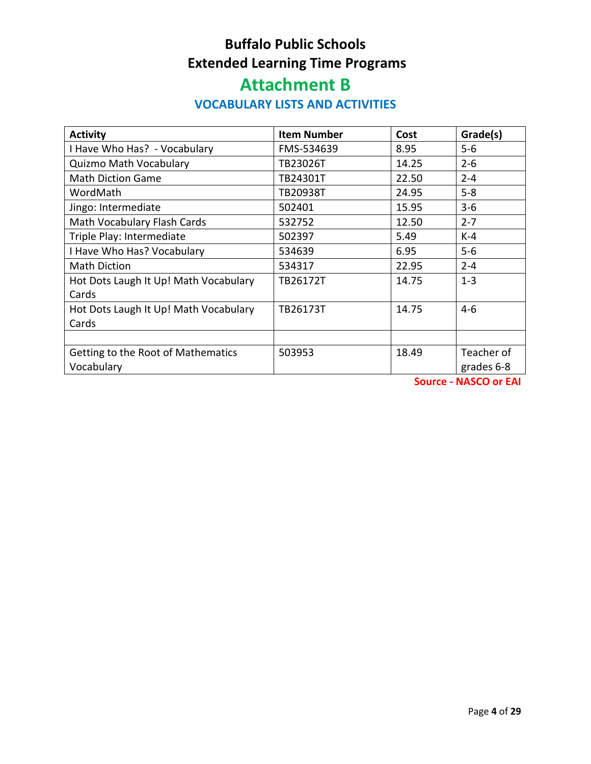# **Attachment B**

#### **VOCABULARY LISTS AND ACTIVITIES**

| <b>Activity</b>                       | <b>Item Number</b> | Cost  | Grade(s)   |
|---------------------------------------|--------------------|-------|------------|
| I Have Who Has? - Vocabulary          | FMS-534639         | 8.95  | $5-6$      |
| <b>Quizmo Math Vocabulary</b>         | TB23026T           | 14.25 | $2 - 6$    |
| <b>Math Diction Game</b>              | TB24301T           | 22.50 | $2 - 4$    |
| WordMath                              | TB20938T           | 24.95 | $5 - 8$    |
| Jingo: Intermediate                   | 502401             | 15.95 | $3 - 6$    |
| Math Vocabulary Flash Cards           | 532752             | 12.50 | $2 - 7$    |
| Triple Play: Intermediate             | 502397             | 5.49  | $K-4$      |
| I Have Who Has? Vocabulary            | 534639             | 6.95  | $5-6$      |
| <b>Math Diction</b>                   | 534317             | 22.95 | $2 - 4$    |
| Hot Dots Laugh It Up! Math Vocabulary | TB26172T           | 14.75 | $1 - 3$    |
| Cards                                 |                    |       |            |
| Hot Dots Laugh It Up! Math Vocabulary | TB26173T           | 14.75 | $4 - 6$    |
| Cards                                 |                    |       |            |
|                                       |                    |       |            |
| Getting to the Root of Mathematics    | 503953             | 18.49 | Teacher of |
| Vocabulary                            |                    |       | grades 6-8 |

**Source - NASCO or EAI**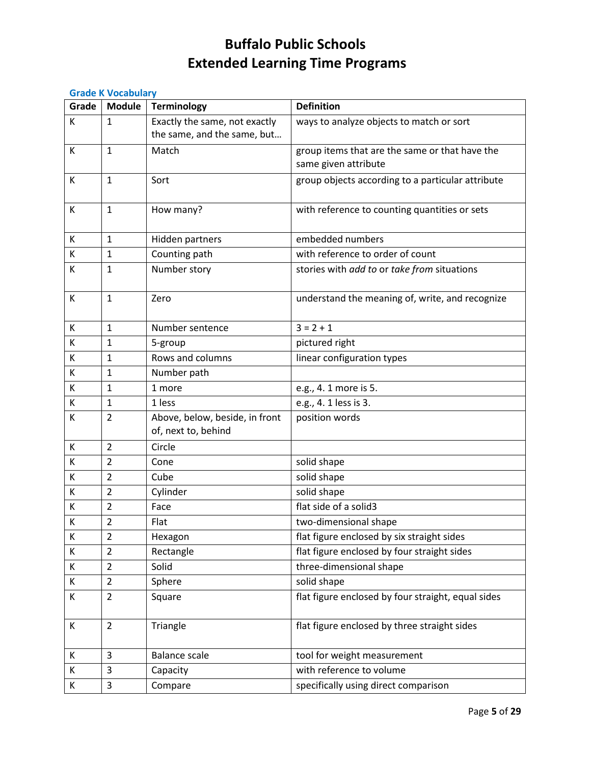#### **Grade K Vocabulary**

| Grade | <b>Module</b>  | <b>Terminology</b>             | <b>Definition</b>                                  |
|-------|----------------|--------------------------------|----------------------------------------------------|
| К     | 1              | Exactly the same, not exactly  | ways to analyze objects to match or sort           |
|       |                | the same, and the same, but    |                                                    |
| К     | $\mathbf{1}$   | Match                          | group items that are the same or that have the     |
|       |                |                                | same given attribute                               |
| К     | $\mathbf{1}$   | Sort                           | group objects according to a particular attribute  |
|       |                |                                |                                                    |
| К     | 1              | How many?                      | with reference to counting quantities or sets      |
|       |                |                                |                                                    |
| К     | $\mathbf{1}$   | Hidden partners                | embedded numbers                                   |
| К     | $\mathbf{1}$   | Counting path                  | with reference to order of count                   |
| К     | $\mathbf{1}$   | Number story                   | stories with add to or take from situations        |
|       |                |                                |                                                    |
| К     | $\mathbf{1}$   | Zero                           | understand the meaning of, write, and recognize    |
| К     | $\mathbf{1}$   | Number sentence                | $3 = 2 + 1$                                        |
| К     | 1              | 5-group                        | pictured right                                     |
| К     | $\mathbf{1}$   | Rows and columns               | linear configuration types                         |
| К     | $\mathbf{1}$   | Number path                    |                                                    |
| К     | $\mathbf{1}$   | 1 more                         | e.g., 4. 1 more is 5.                              |
| К     | $\mathbf{1}$   | 1 less                         | e.g., 4. 1 less is 3.                              |
| К     | $\overline{2}$ | Above, below, beside, in front | position words                                     |
|       |                | of, next to, behind            |                                                    |
| К     | $\overline{2}$ | Circle                         |                                                    |
| К     | $\overline{2}$ | Cone                           | solid shape                                        |
| К     | $\overline{2}$ | Cube                           | solid shape                                        |
| К     | $\overline{2}$ | Cylinder                       | solid shape                                        |
| К     | $\overline{2}$ | Face                           | flat side of a solid3                              |
| К     | $\overline{2}$ | Flat                           | two-dimensional shape                              |
| К     | $\overline{2}$ | Hexagon                        | flat figure enclosed by six straight sides         |
| К     | $\overline{2}$ | Rectangle                      | flat figure enclosed by four straight sides        |
| К     | $\overline{2}$ | Solid                          | three-dimensional shape                            |
| К     | $\overline{2}$ | Sphere                         | solid shape                                        |
| К     | $\overline{2}$ | Square                         | flat figure enclosed by four straight, equal sides |
|       |                |                                |                                                    |
| К     | $\overline{2}$ | Triangle                       | flat figure enclosed by three straight sides       |
|       |                |                                |                                                    |
| K     | 3              | <b>Balance scale</b>           | tool for weight measurement                        |
| К     | 3              | Capacity                       | with reference to volume                           |
| К     | 3              | Compare                        | specifically using direct comparison               |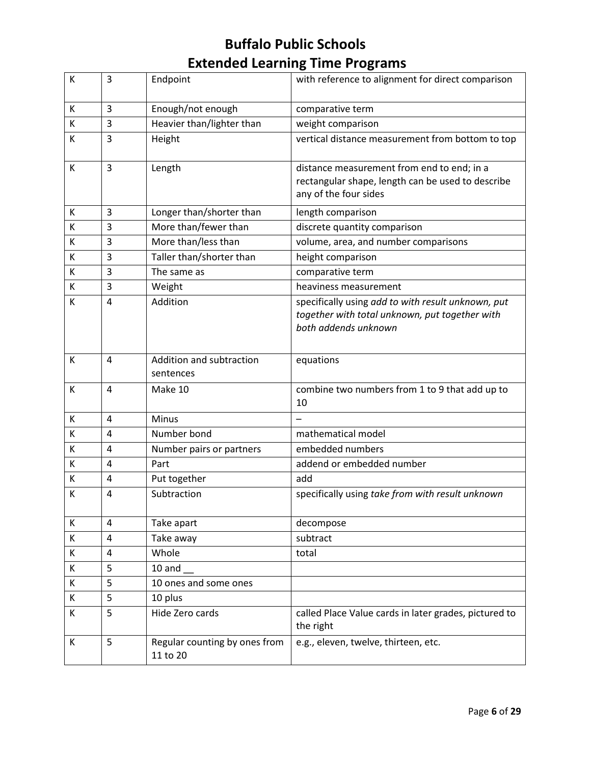| К | 3              | Endpoint                                  | with reference to alignment for direct comparison                                                                            |
|---|----------------|-------------------------------------------|------------------------------------------------------------------------------------------------------------------------------|
| К | 3              | Enough/not enough                         | comparative term                                                                                                             |
| К | 3              | Heavier than/lighter than                 | weight comparison                                                                                                            |
| К | 3              | Height                                    | vertical distance measurement from bottom to top                                                                             |
| К | 3              | Length                                    | distance measurement from end to end; in a<br>rectangular shape, length can be used to describe<br>any of the four sides     |
| К | 3              | Longer than/shorter than                  | length comparison                                                                                                            |
| К | 3              | More than/fewer than                      | discrete quantity comparison                                                                                                 |
| K | 3              | More than/less than                       | volume, area, and number comparisons                                                                                         |
| К | 3              | Taller than/shorter than                  | height comparison                                                                                                            |
| К | 3              | The same as                               | comparative term                                                                                                             |
| К | 3              | Weight                                    | heaviness measurement                                                                                                        |
| К | $\overline{4}$ | Addition                                  | specifically using add to with result unknown, put<br>together with total unknown, put together with<br>both addends unknown |
| К | 4              | Addition and subtraction<br>sentences     | equations                                                                                                                    |
| К | $\overline{a}$ | Make 10                                   | combine two numbers from 1 to 9 that add up to<br>10                                                                         |
| К | $\overline{4}$ | <b>Minus</b>                              |                                                                                                                              |
| К | $\overline{4}$ | Number bond                               | mathematical model                                                                                                           |
| К | $\overline{4}$ | Number pairs or partners                  | embedded numbers                                                                                                             |
| К | 4              | Part                                      | addend or embedded number                                                                                                    |
| К | 4              | Put together                              | add                                                                                                                          |
| К | 4              | Subtraction                               | specifically using take from with result unknown                                                                             |
| K | 4              | Take apart                                | decompose                                                                                                                    |
| K | 4              | Take away                                 | subtract                                                                                                                     |
| К | 4              | Whole                                     | total                                                                                                                        |
| K | 5              | 10 and                                    |                                                                                                                              |
| K | 5              | 10 ones and some ones                     |                                                                                                                              |
| K | 5              | 10 plus                                   |                                                                                                                              |
| К | 5              | Hide Zero cards                           | called Place Value cards in later grades, pictured to<br>the right                                                           |
| K | 5              | Regular counting by ones from<br>11 to 20 | e.g., eleven, twelve, thirteen, etc.                                                                                         |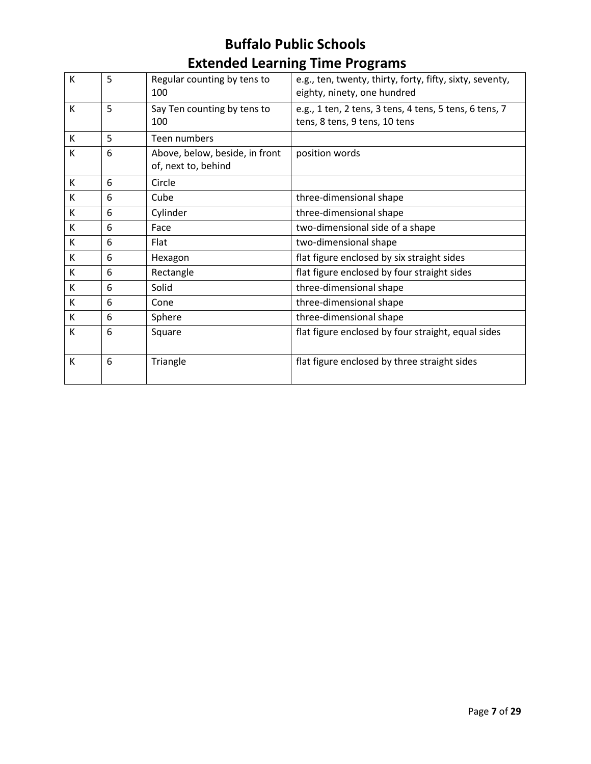| К | 5 | Regular counting by tens to<br>100                    | e.g., ten, twenty, thirty, forty, fifty, sixty, seventy,<br>eighty, ninety, one hundred |
|---|---|-------------------------------------------------------|-----------------------------------------------------------------------------------------|
| К | 5 | Say Ten counting by tens to<br>100                    | e.g., 1 ten, 2 tens, 3 tens, 4 tens, 5 tens, 6 tens, 7<br>tens, 8 tens, 9 tens, 10 tens |
| Κ | 5 | Teen numbers                                          |                                                                                         |
| К | 6 | Above, below, beside, in front<br>of, next to, behind | position words                                                                          |
| K | 6 | Circle                                                |                                                                                         |
| K | 6 | Cube                                                  | three-dimensional shape                                                                 |
| К | 6 | Cylinder                                              | three-dimensional shape                                                                 |
| К | 6 | Face                                                  | two-dimensional side of a shape                                                         |
| K | 6 | Flat                                                  | two-dimensional shape                                                                   |
| К | 6 | Hexagon                                               | flat figure enclosed by six straight sides                                              |
| К | 6 | Rectangle                                             | flat figure enclosed by four straight sides                                             |
| K | 6 | Solid                                                 | three-dimensional shape                                                                 |
| К | 6 | Cone                                                  | three-dimensional shape                                                                 |
| K | 6 | Sphere                                                | three-dimensional shape                                                                 |
| K | 6 | Square                                                | flat figure enclosed by four straight, equal sides                                      |
| К | 6 | Triangle                                              | flat figure enclosed by three straight sides                                            |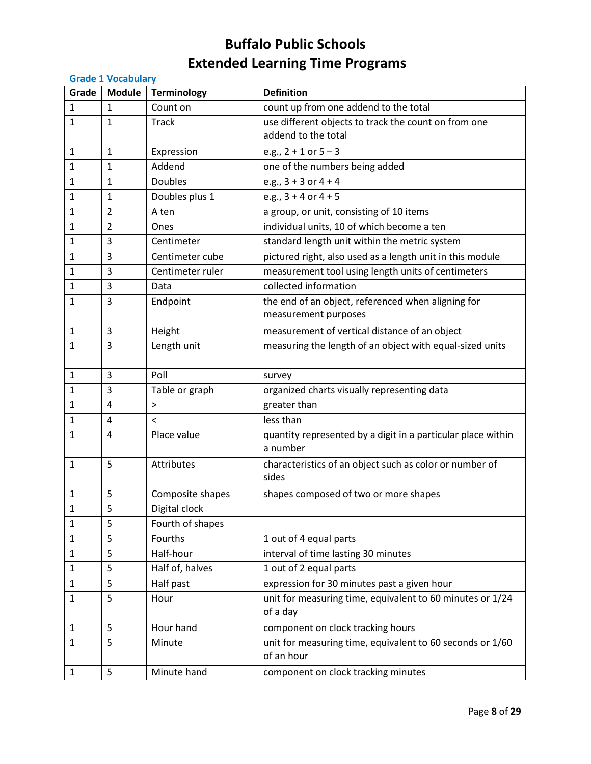|              | <b>Grade 1 Vocabulary</b> |                    |                                                                          |  |
|--------------|---------------------------|--------------------|--------------------------------------------------------------------------|--|
| Grade        | <b>Module</b>             | <b>Terminology</b> | <b>Definition</b>                                                        |  |
| 1            | $\mathbf{1}$              | Count on           | count up from one addend to the total                                    |  |
| 1            | $\mathbf{1}$              | <b>Track</b>       | use different objects to track the count on from one                     |  |
|              |                           |                    | addend to the total                                                      |  |
| 1            | $\mathbf{1}$              | Expression         | e.g., $2 + 1$ or $5 - 3$                                                 |  |
| 1            | $\mathbf{1}$              | Addend             | one of the numbers being added                                           |  |
| 1            | $\mathbf{1}$              | <b>Doubles</b>     | e.g., $3 + 3$ or $4 + 4$                                                 |  |
| 1            | 1                         | Doubles plus 1     | e.g., $3 + 4$ or $4 + 5$                                                 |  |
| 1            | $\overline{2}$            | A ten              | a group, or unit, consisting of 10 items                                 |  |
| 1            | $\overline{2}$            | Ones               | individual units, 10 of which become a ten                               |  |
| 1            | 3                         | Centimeter         | standard length unit within the metric system                            |  |
| 1            | $\overline{3}$            | Centimeter cube    | pictured right, also used as a length unit in this module                |  |
| 1            | 3                         | Centimeter ruler   | measurement tool using length units of centimeters                       |  |
| 1            | 3                         | Data               | collected information                                                    |  |
| 1            | 3                         | Endpoint           | the end of an object, referenced when aligning for                       |  |
|              |                           |                    | measurement purposes                                                     |  |
| 1            | 3                         | Height             | measurement of vertical distance of an object                            |  |
| 1            | 3                         | Length unit        | measuring the length of an object with equal-sized units                 |  |
|              |                           |                    |                                                                          |  |
| 1            | 3                         | Poll               | survey                                                                   |  |
| 1            | $\overline{3}$            | Table or graph     | organized charts visually representing data                              |  |
| 1            | 4                         | $\geq$             | greater than                                                             |  |
| 1            | $\overline{4}$            | $\prec$            | less than                                                                |  |
| 1            | 4                         | Place value        | quantity represented by a digit in a particular place within<br>a number |  |
| 1            | 5                         | Attributes         | characteristics of an object such as color or number of                  |  |
|              |                           |                    | sides                                                                    |  |
| 1            | 5                         | Composite shapes   | shapes composed of two or more shapes                                    |  |
| 1            | 5                         | Digital clock      |                                                                          |  |
| 1            | 5                         | Fourth of shapes   |                                                                          |  |
| 1            | 5                         | Fourths            | 1 out of 4 equal parts                                                   |  |
| 1            | 5                         | Half-hour          | interval of time lasting 30 minutes                                      |  |
| 1            | 5                         | Half of, halves    | 1 out of 2 equal parts                                                   |  |
| 1            | 5                         | Half past          | expression for 30 minutes past a given hour                              |  |
| 1            | 5                         | Hour               | unit for measuring time, equivalent to 60 minutes or 1/24<br>of a day    |  |
| $\mathbf{1}$ | 5                         | Hour hand          | component on clock tracking hours                                        |  |
| 1            | 5                         | Minute             | unit for measuring time, equivalent to 60 seconds or 1/60<br>of an hour  |  |
| 1            | 5                         | Minute hand        | component on clock tracking minutes                                      |  |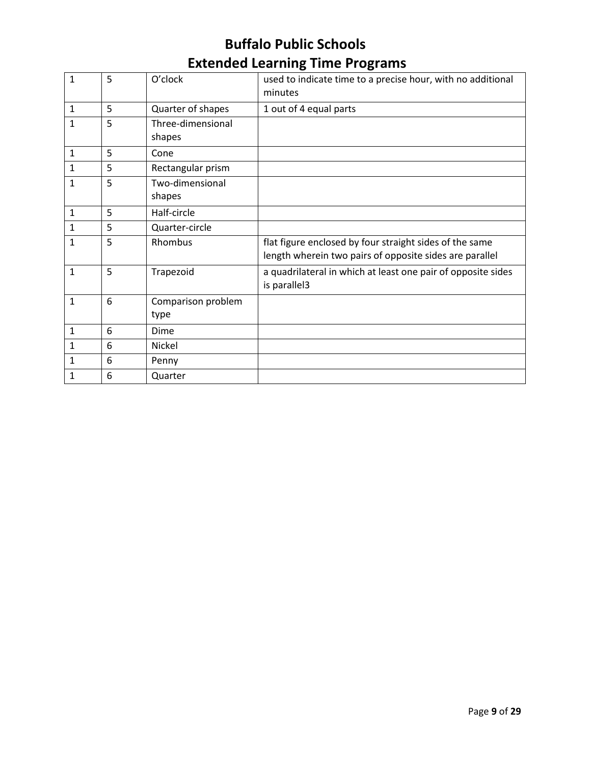| $\mathbf{1}$ | 5 | O'clock            | used to indicate time to a precise hour, with no additional<br>minutes                                             |
|--------------|---|--------------------|--------------------------------------------------------------------------------------------------------------------|
| $\mathbf{1}$ | 5 | Quarter of shapes  | 1 out of 4 equal parts                                                                                             |
| $\mathbf{1}$ | 5 | Three-dimensional  |                                                                                                                    |
|              |   | shapes             |                                                                                                                    |
| $\mathbf{1}$ | 5 | Cone               |                                                                                                                    |
| 1            | 5 | Rectangular prism  |                                                                                                                    |
| $\mathbf{1}$ | 5 | Two-dimensional    |                                                                                                                    |
|              |   | shapes             |                                                                                                                    |
| $1\,$        | 5 | Half-circle        |                                                                                                                    |
| 1            | 5 | Quarter-circle     |                                                                                                                    |
| 1            | 5 | Rhombus            | flat figure enclosed by four straight sides of the same<br>length wherein two pairs of opposite sides are parallel |
| $\mathbf{1}$ | 5 | Trapezoid          | a quadrilateral in which at least one pair of opposite sides<br>is parallel3                                       |
| $\mathbf{1}$ | 6 | Comparison problem |                                                                                                                    |
|              |   | type               |                                                                                                                    |
| $\mathbf{1}$ | 6 | Dime               |                                                                                                                    |
| 1            | 6 | Nickel             |                                                                                                                    |
| 1            | 6 | Penny              |                                                                                                                    |
| $\mathbf{1}$ | 6 | Quarter            |                                                                                                                    |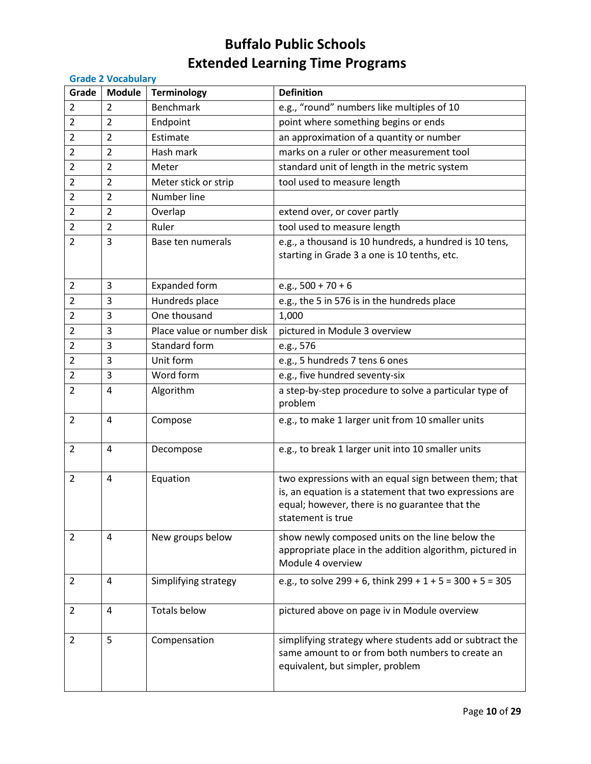| <b>Grade 2 Vocabulary</b> |                |                            |                                                                                                                                                                                         |
|---------------------------|----------------|----------------------------|-----------------------------------------------------------------------------------------------------------------------------------------------------------------------------------------|
| Grade                     | <b>Module</b>  | <b>Terminology</b>         | <b>Definition</b>                                                                                                                                                                       |
| $\overline{2}$            | 2              | <b>Benchmark</b>           | e.g., "round" numbers like multiples of 10                                                                                                                                              |
| $\overline{2}$            | $\overline{2}$ | Endpoint                   | point where something begins or ends                                                                                                                                                    |
| $\overline{2}$            | $\overline{2}$ | Estimate                   | an approximation of a quantity or number                                                                                                                                                |
| $\overline{2}$            | $\overline{2}$ | Hash mark                  | marks on a ruler or other measurement tool                                                                                                                                              |
| $\overline{2}$            | $\overline{2}$ | Meter                      | standard unit of length in the metric system                                                                                                                                            |
| $\overline{2}$            | $\overline{2}$ | Meter stick or strip       | tool used to measure length                                                                                                                                                             |
| $\overline{2}$            | 2              | Number line                |                                                                                                                                                                                         |
| $\overline{2}$            | $\overline{2}$ | Overlap                    | extend over, or cover partly                                                                                                                                                            |
| $\overline{2}$            | $\overline{2}$ | Ruler                      | tool used to measure length                                                                                                                                                             |
| 2                         | 3              | Base ten numerals          | e.g., a thousand is 10 hundreds, a hundred is 10 tens,<br>starting in Grade 3 a one is 10 tenths, etc.                                                                                  |
| $\overline{2}$            | 3              | <b>Expanded form</b>       | e.g., $500 + 70 + 6$                                                                                                                                                                    |
| $\overline{2}$            | 3              | Hundreds place             | e.g., the 5 in 576 is in the hundreds place                                                                                                                                             |
| $\overline{2}$            | 3              | One thousand               | 1,000                                                                                                                                                                                   |
| $\overline{2}$            | 3              | Place value or number disk | pictured in Module 3 overview                                                                                                                                                           |
| $\overline{2}$            | 3              | Standard form              | e.g., 576                                                                                                                                                                               |
| $\overline{2}$            | 3              | Unit form                  | e.g., 5 hundreds 7 tens 6 ones                                                                                                                                                          |
| $\overline{2}$            | 3              | Word form                  | e.g., five hundred seventy-six                                                                                                                                                          |
| $\overline{2}$            | $\overline{4}$ | Algorithm                  | a step-by-step procedure to solve a particular type of<br>problem                                                                                                                       |
| $\overline{2}$            | 4              | Compose                    | e.g., to make 1 larger unit from 10 smaller units                                                                                                                                       |
| $\overline{2}$            | 4              | Decompose                  | e.g., to break 1 larger unit into 10 smaller units                                                                                                                                      |
| $\overline{2}$            | 4              | Equation                   | two expressions with an equal sign between them; that<br>is, an equation is a statement that two expressions are<br>equal; however, there is no guarantee that the<br>statement is true |
| $\overline{2}$            | 4              | New groups below           | show newly composed units on the line below the<br>appropriate place in the addition algorithm, pictured in<br>Module 4 overview                                                        |
| $\overline{2}$            | 4              | Simplifying strategy       | e.g., to solve $299 + 6$ , think $299 + 1 + 5 = 300 + 5 = 305$                                                                                                                          |
| $\overline{2}$            | 4              | <b>Totals below</b>        | pictured above on page iv in Module overview                                                                                                                                            |
| $\overline{2}$            | 5              | Compensation               | simplifying strategy where students add or subtract the<br>same amount to or from both numbers to create an<br>equivalent, but simpler, problem                                         |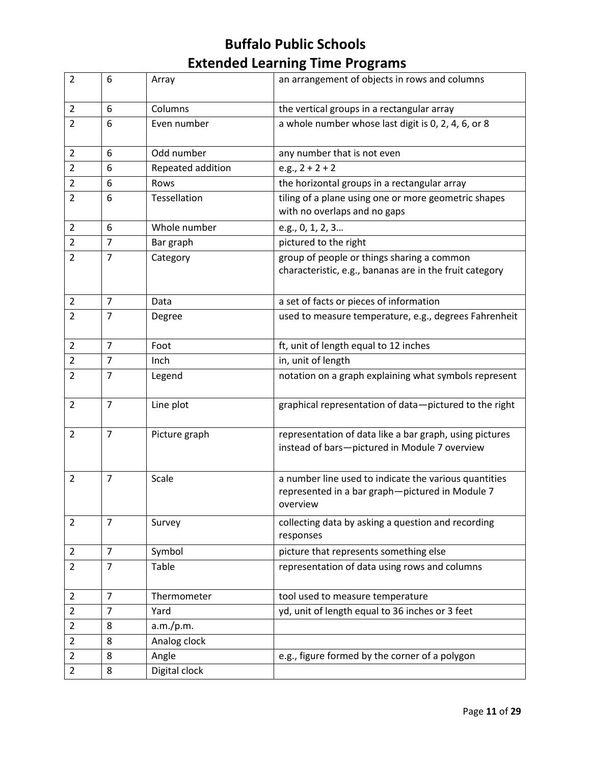| $\overline{2}$ | 6              | Array             | an arrangement of objects in rows and columns                                                                        |
|----------------|----------------|-------------------|----------------------------------------------------------------------------------------------------------------------|
| $\overline{2}$ | 6              | Columns           | the vertical groups in a rectangular array                                                                           |
| $\overline{2}$ | 6              | Even number       | a whole number whose last digit is 0, 2, 4, 6, or 8                                                                  |
| $\overline{2}$ | 6              | Odd number        | any number that is not even                                                                                          |
| $\overline{2}$ | 6              | Repeated addition | e.g., $2 + 2 + 2$                                                                                                    |
| 2              | 6              | Rows              | the horizontal groups in a rectangular array                                                                         |
| $\overline{2}$ | 6              | Tessellation      | tiling of a plane using one or more geometric shapes<br>with no overlaps and no gaps                                 |
| $\overline{2}$ | 6              | Whole number      | e.g., 0, 1, 2, 3                                                                                                     |
| $\overline{2}$ | $\overline{7}$ | Bar graph         | pictured to the right                                                                                                |
| $\overline{2}$ | $\overline{7}$ | Category          | group of people or things sharing a common<br>characteristic, e.g., bananas are in the fruit category                |
| $\overline{2}$ | $\overline{7}$ | Data              | a set of facts or pieces of information                                                                              |
| $\overline{2}$ | 7              | Degree            | used to measure temperature, e.g., degrees Fahrenheit                                                                |
| $\overline{2}$ | $\overline{7}$ | Foot              | ft, unit of length equal to 12 inches                                                                                |
| $\overline{2}$ | $\overline{7}$ | Inch              | in, unit of length                                                                                                   |
| $\overline{2}$ | $\overline{7}$ | Legend            | notation on a graph explaining what symbols represent                                                                |
| $\overline{2}$ | $\overline{7}$ | Line plot         | graphical representation of data-pictured to the right                                                               |
| $\overline{2}$ | $\overline{7}$ | Picture graph     | representation of data like a bar graph, using pictures<br>instead of bars-pictured in Module 7 overview             |
| $\overline{2}$ | 7              | Scale             | a number line used to indicate the various quantities<br>represented in a bar graph-pictured in Module 7<br>overview |
| $\overline{2}$ | $\overline{7}$ | Survey            | collecting data by asking a question and recording<br>responses                                                      |
| $\overline{2}$ | $\overline{7}$ | Symbol            | picture that represents something else                                                                               |
| $\overline{2}$ | $\overline{7}$ | Table             | representation of data using rows and columns                                                                        |
| $\overline{2}$ | $\overline{7}$ | Thermometer       | tool used to measure temperature                                                                                     |
| $\overline{2}$ | $\overline{7}$ | Yard              | yd, unit of length equal to 36 inches or 3 feet                                                                      |
| $\overline{2}$ | 8              | a.m./p.m.         |                                                                                                                      |
| $\overline{2}$ | 8              | Analog clock      |                                                                                                                      |
| $\overline{2}$ | 8              | Angle             | e.g., figure formed by the corner of a polygon                                                                       |
| $\overline{2}$ | 8              | Digital clock     |                                                                                                                      |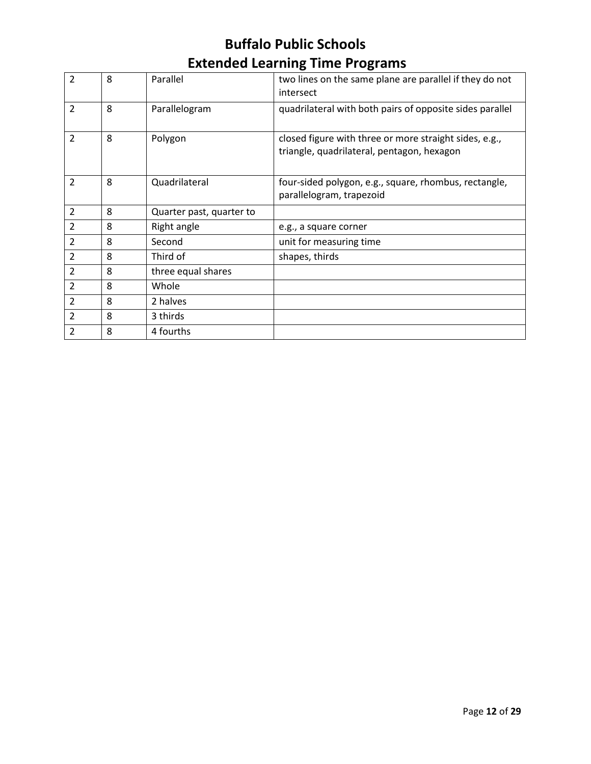| 2              | 8 | Parallel                 | two lines on the same plane are parallel if they do not<br>intersect                                 |
|----------------|---|--------------------------|------------------------------------------------------------------------------------------------------|
| $\overline{2}$ | 8 | Parallelogram            | quadrilateral with both pairs of opposite sides parallel                                             |
| 2              | 8 | Polygon                  | closed figure with three or more straight sides, e.g.,<br>triangle, quadrilateral, pentagon, hexagon |
| 2              | 8 | Quadrilateral            | four-sided polygon, e.g., square, rhombus, rectangle,<br>parallelogram, trapezoid                    |
| $\overline{2}$ | 8 | Quarter past, quarter to |                                                                                                      |
| 2              | 8 | Right angle              | e.g., a square corner                                                                                |
| $\overline{2}$ | 8 | Second                   | unit for measuring time                                                                              |
| $\overline{2}$ | 8 | Third of                 | shapes, thirds                                                                                       |
| $\overline{2}$ | 8 | three equal shares       |                                                                                                      |
| $\overline{2}$ | 8 | Whole                    |                                                                                                      |
| $\overline{2}$ | 8 | 2 halves                 |                                                                                                      |
| $\overline{2}$ | 8 | 3 thirds                 |                                                                                                      |
| $\overline{2}$ | 8 | 4 fourths                |                                                                                                      |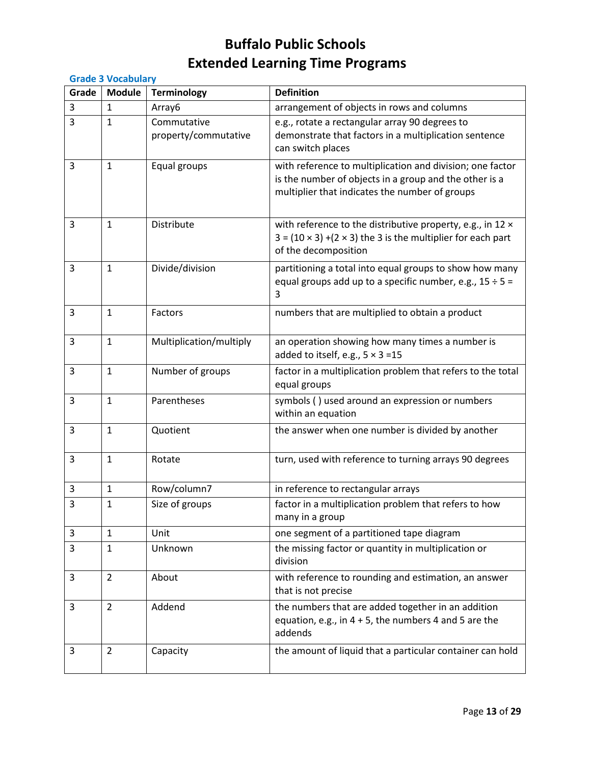| <b>Grade 3 Vocabulary</b> |                |                                     |                                                                                                                                                                       |  |  |
|---------------------------|----------------|-------------------------------------|-----------------------------------------------------------------------------------------------------------------------------------------------------------------------|--|--|
| Grade                     | <b>Module</b>  | <b>Terminology</b>                  | <b>Definition</b>                                                                                                                                                     |  |  |
| 3                         | 1              | Array6                              | arrangement of objects in rows and columns                                                                                                                            |  |  |
| 3                         | 1              | Commutative<br>property/commutative | e.g., rotate a rectangular array 90 degrees to<br>demonstrate that factors in a multiplication sentence<br>can switch places                                          |  |  |
| 3                         | 1              | Equal groups                        | with reference to multiplication and division; one factor<br>is the number of objects in a group and the other is a<br>multiplier that indicates the number of groups |  |  |
| 3                         | 1              | Distribute                          | with reference to the distributive property, e.g., in 12 x<br>$3 = (10 \times 3) + (2 \times 3)$ the 3 is the multiplier for each part<br>of the decomposition        |  |  |
| 3                         | $\mathbf{1}$   | Divide/division                     | partitioning a total into equal groups to show how many<br>equal groups add up to a specific number, e.g., $15 \div 5 =$<br>3                                         |  |  |
| 3                         | $\mathbf{1}$   | Factors                             | numbers that are multiplied to obtain a product                                                                                                                       |  |  |
| 3                         | 1              | Multiplication/multiply             | an operation showing how many times a number is<br>added to itself, e.g., $5 \times 3 = 15$                                                                           |  |  |
| 3                         | $\mathbf{1}$   | Number of groups                    | factor in a multiplication problem that refers to the total<br>equal groups                                                                                           |  |  |
| 3                         | $\mathbf{1}$   | Parentheses                         | symbols () used around an expression or numbers<br>within an equation                                                                                                 |  |  |
| 3                         | $\mathbf{1}$   | Quotient                            | the answer when one number is divided by another                                                                                                                      |  |  |
| 3                         | $\mathbf{1}$   | Rotate                              | turn, used with reference to turning arrays 90 degrees                                                                                                                |  |  |
| 3                         | $\mathbf 1$    | Row/column7                         | in reference to rectangular arrays                                                                                                                                    |  |  |
| 3                         | 1              | Size of groups                      | factor in a multiplication problem that refers to how<br>many in a group                                                                                              |  |  |
| 3                         | $\mathbf{1}$   | Unit                                | one segment of a partitioned tape diagram                                                                                                                             |  |  |
| 3                         | 1              | Unknown                             | the missing factor or quantity in multiplication or<br>division                                                                                                       |  |  |
| 3                         | $\overline{2}$ | About                               | with reference to rounding and estimation, an answer<br>that is not precise                                                                                           |  |  |
| 3                         | $\overline{2}$ | Addend                              | the numbers that are added together in an addition<br>equation, e.g., in $4 + 5$ , the numbers 4 and 5 are the<br>addends                                             |  |  |
| 3                         | $\overline{2}$ | Capacity                            | the amount of liquid that a particular container can hold                                                                                                             |  |  |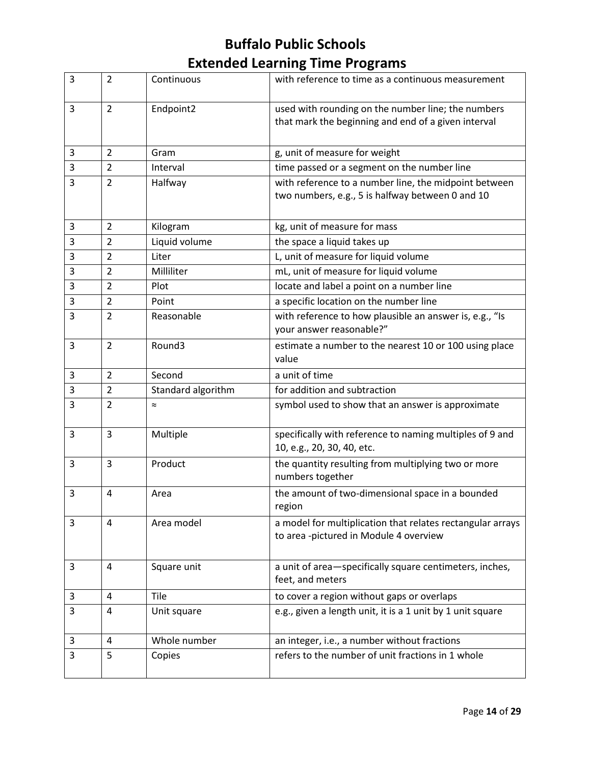| 3 | $\overline{2}$ | Continuous         | with reference to time as a continuous measurement                                                        |
|---|----------------|--------------------|-----------------------------------------------------------------------------------------------------------|
| 3 | $\overline{2}$ | Endpoint2          | used with rounding on the number line; the numbers<br>that mark the beginning and end of a given interval |
| 3 | $\overline{2}$ | Gram               | g, unit of measure for weight                                                                             |
| 3 | $\overline{2}$ | Interval           | time passed or a segment on the number line                                                               |
| 3 | $\overline{2}$ | Halfway            | with reference to a number line, the midpoint between<br>two numbers, e.g., 5 is halfway between 0 and 10 |
| 3 | 2              | Kilogram           | kg, unit of measure for mass                                                                              |
| 3 | $\overline{2}$ | Liquid volume      | the space a liquid takes up                                                                               |
| 3 | $\overline{2}$ | Liter              | L, unit of measure for liquid volume                                                                      |
| 3 | $\overline{2}$ | Milliliter         | mL, unit of measure for liquid volume                                                                     |
| 3 | $\overline{2}$ | Plot               | locate and label a point on a number line                                                                 |
| 3 | $\overline{2}$ | Point              | a specific location on the number line                                                                    |
| 3 | $\overline{2}$ | Reasonable         | with reference to how plausible an answer is, e.g., "Is<br>your answer reasonable?"                       |
| 3 | $\overline{2}$ | Round3             | estimate a number to the nearest 10 or 100 using place<br>value                                           |
| 3 | $\overline{2}$ | Second             | a unit of time                                                                                            |
| 3 | $\overline{2}$ | Standard algorithm | for addition and subtraction                                                                              |
| 3 | $\overline{2}$ | $\approx$          | symbol used to show that an answer is approximate                                                         |
| 3 | 3              | Multiple           | specifically with reference to naming multiples of 9 and<br>10, e.g., 20, 30, 40, etc.                    |
| 3 | 3              | Product            | the quantity resulting from multiplying two or more<br>numbers together                                   |
| 3 | 4              | Area               | the amount of two-dimensional space in a bounded<br>region                                                |
| 3 | 4              | Area model         | a model for multiplication that relates rectangular arrays<br>to area -pictured in Module 4 overview      |
| 3 | 4              | Square unit        | a unit of area-specifically square centimeters, inches,<br>feet, and meters                               |
| 3 | 4              | Tile               | to cover a region without gaps or overlaps                                                                |
| 3 | 4              | Unit square        | e.g., given a length unit, it is a 1 unit by 1 unit square                                                |
| 3 | 4              | Whole number       | an integer, i.e., a number without fractions                                                              |
| 3 | 5              | Copies             | refers to the number of unit fractions in 1 whole                                                         |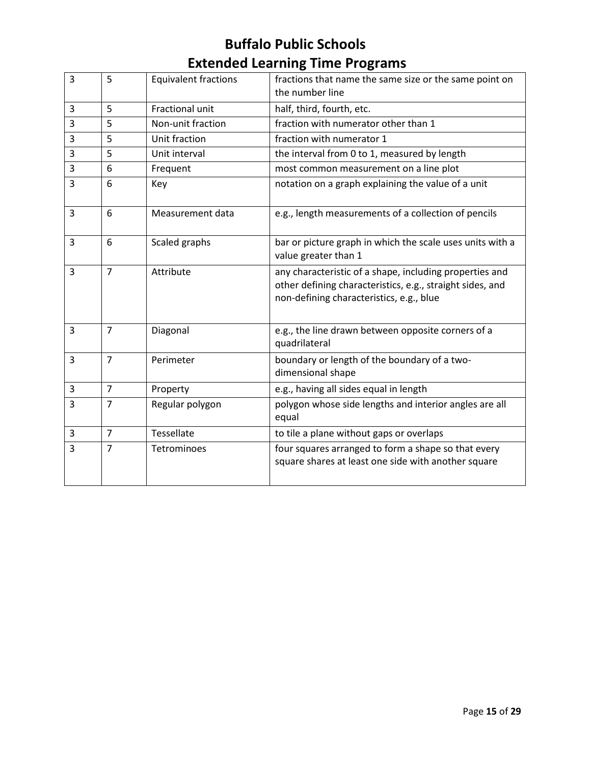| 3 | 5              | <b>Equivalent fractions</b> | fractions that name the same size or the same point on<br>the number line                                                                                        |
|---|----------------|-----------------------------|------------------------------------------------------------------------------------------------------------------------------------------------------------------|
| 3 | 5              | Fractional unit             | half, third, fourth, etc.                                                                                                                                        |
| 3 | 5              | Non-unit fraction           | fraction with numerator other than 1                                                                                                                             |
| 3 | 5              | Unit fraction               | fraction with numerator 1                                                                                                                                        |
| 3 | 5              | Unit interval               | the interval from 0 to 1, measured by length                                                                                                                     |
| 3 | 6              | Frequent                    | most common measurement on a line plot                                                                                                                           |
| 3 | 6              | Key                         | notation on a graph explaining the value of a unit                                                                                                               |
| 3 | 6              | Measurement data            | e.g., length measurements of a collection of pencils                                                                                                             |
| 3 | 6              | Scaled graphs               | bar or picture graph in which the scale uses units with a<br>value greater than 1                                                                                |
| 3 | $\overline{7}$ | Attribute                   | any characteristic of a shape, including properties and<br>other defining characteristics, e.g., straight sides, and<br>non-defining characteristics, e.g., blue |
| 3 | $\overline{7}$ | Diagonal                    | e.g., the line drawn between opposite corners of a<br>quadrilateral                                                                                              |
| 3 | $\overline{7}$ | Perimeter                   | boundary or length of the boundary of a two-<br>dimensional shape                                                                                                |
| 3 | $\overline{7}$ | Property                    | e.g., having all sides equal in length                                                                                                                           |
| 3 | $\overline{7}$ | Regular polygon             | polygon whose side lengths and interior angles are all<br>equal                                                                                                  |
| 3 | $\overline{7}$ | <b>Tessellate</b>           | to tile a plane without gaps or overlaps                                                                                                                         |
| 3 | $\overline{7}$ | Tetrominoes                 | four squares arranged to form a shape so that every<br>square shares at least one side with another square                                                       |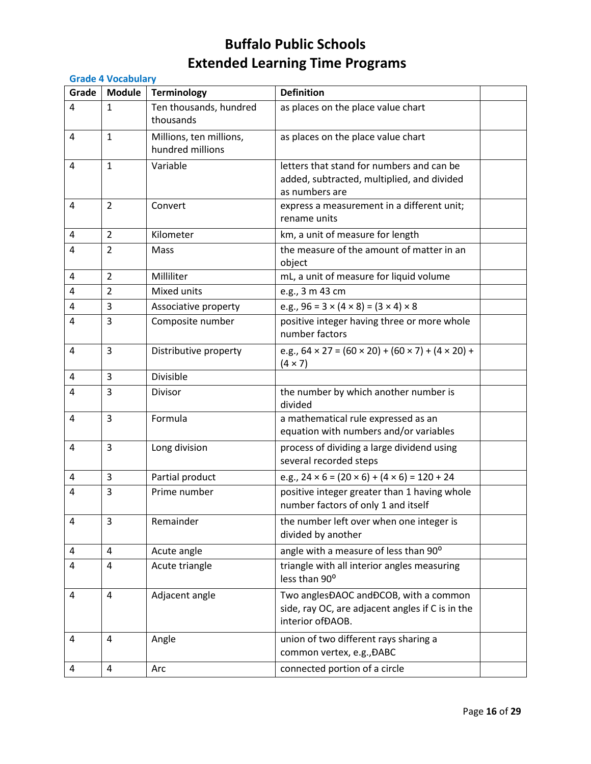|       | <b>Grade 4 Vocabulary</b> |                                             |                                                                                                                |  |  |
|-------|---------------------------|---------------------------------------------|----------------------------------------------------------------------------------------------------------------|--|--|
| Grade | <b>Module</b>             | <b>Terminology</b>                          | <b>Definition</b>                                                                                              |  |  |
| 4     | $\mathbf{1}$              | Ten thousands, hundred<br>thousands         | as places on the place value chart                                                                             |  |  |
| 4     | $\mathbf{1}$              | Millions, ten millions,<br>hundred millions | as places on the place value chart                                                                             |  |  |
| 4     | $\mathbf{1}$              | Variable                                    | letters that stand for numbers and can be<br>added, subtracted, multiplied, and divided<br>as numbers are      |  |  |
| 4     | $\overline{2}$            | Convert                                     | express a measurement in a different unit;<br>rename units                                                     |  |  |
| 4     | $\overline{2}$            | Kilometer                                   | km, a unit of measure for length                                                                               |  |  |
| 4     | $\overline{2}$            | Mass                                        | the measure of the amount of matter in an<br>object                                                            |  |  |
| 4     | $\overline{2}$            | Milliliter                                  | mL, a unit of measure for liquid volume                                                                        |  |  |
| 4     | $\overline{2}$            | Mixed units                                 | e.g., 3 m 43 cm                                                                                                |  |  |
| 4     | 3                         | Associative property                        | e.g., $96 = 3 \times (4 \times 8) = (3 \times 4) \times 8$                                                     |  |  |
| 4     | 3                         | Composite number                            | positive integer having three or more whole<br>number factors                                                  |  |  |
| 4     | 3                         | Distributive property                       | e.g., $64 \times 27 = (60 \times 20) + (60 \times 7) + (4 \times 20) +$<br>$(4 \times 7)$                      |  |  |
| 4     | 3                         | Divisible                                   |                                                                                                                |  |  |
| 4     | 3                         | <b>Divisor</b>                              | the number by which another number is<br>divided                                                               |  |  |
| 4     | 3                         | Formula                                     | a mathematical rule expressed as an<br>equation with numbers and/or variables                                  |  |  |
| 4     | 3                         | Long division                               | process of dividing a large dividend using<br>several recorded steps                                           |  |  |
| 4     | 3                         | Partial product                             | e.g., $24 \times 6 = (20 \times 6) + (4 \times 6) = 120 + 24$                                                  |  |  |
| 4     | 3                         | Prime number                                | positive integer greater than 1 having whole<br>number factors of only 1 and itself                            |  |  |
| 4     | 3                         | Remainder                                   | the number left over when one integer is<br>divided by another                                                 |  |  |
| 4     | 4                         | Acute angle                                 | angle with a measure of less than 90°                                                                          |  |  |
| 4     | 4                         | Acute triangle                              | triangle with all interior angles measuring<br>less than 90°                                                   |  |  |
| 4     | 4                         | Adjacent angle                              | Two anglesĐAOC andĐCOB, with a common<br>side, ray OC, are adjacent angles if C is in the<br>interior of DAOB. |  |  |
| 4     | 4                         | Angle                                       | union of two different rays sharing a<br>common vertex, e.g., ĐABC                                             |  |  |
| 4     | 4                         | Arc                                         | connected portion of a circle                                                                                  |  |  |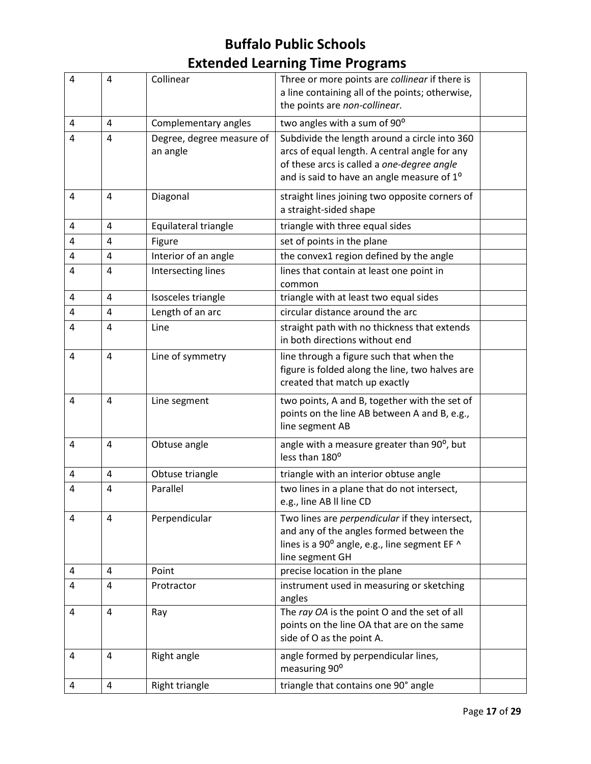| $\overline{4}$ | $\overline{4}$ | Collinear                             | Three or more points are collinear if there is<br>a line containing all of the points; otherwise,<br>the points are non-collinear.                                                                     |  |
|----------------|----------------|---------------------------------------|--------------------------------------------------------------------------------------------------------------------------------------------------------------------------------------------------------|--|
| 4              | 4              | Complementary angles                  | two angles with a sum of 90°                                                                                                                                                                           |  |
| 4              | $\overline{4}$ | Degree, degree measure of<br>an angle | Subdivide the length around a circle into 360<br>arcs of equal length. A central angle for any<br>of these arcs is called a one-degree angle<br>and is said to have an angle measure of 1 <sup>o</sup> |  |
| $\overline{4}$ | 4              | Diagonal                              | straight lines joining two opposite corners of<br>a straight-sided shape                                                                                                                               |  |
| 4              | 4              | Equilateral triangle                  | triangle with three equal sides                                                                                                                                                                        |  |
| 4              | 4              | Figure                                | set of points in the plane                                                                                                                                                                             |  |
| 4              | 4              | Interior of an angle                  | the convex1 region defined by the angle                                                                                                                                                                |  |
| 4              | 4              | Intersecting lines                    | lines that contain at least one point in<br>common                                                                                                                                                     |  |
| 4              | $\overline{4}$ | Isosceles triangle                    | triangle with at least two equal sides                                                                                                                                                                 |  |
| 4              | 4              | Length of an arc                      | circular distance around the arc                                                                                                                                                                       |  |
| 4              | $\overline{a}$ | Line                                  | straight path with no thickness that extends<br>in both directions without end                                                                                                                         |  |
| 4              | $\overline{4}$ | Line of symmetry                      | line through a figure such that when the<br>figure is folded along the line, two halves are<br>created that match up exactly                                                                           |  |
| 4              | $\overline{4}$ | Line segment                          | two points, A and B, together with the set of<br>points on the line AB between A and B, e.g.,<br>line segment AB                                                                                       |  |
| 4              | 4              | Obtuse angle                          | angle with a measure greater than 90°, but<br>less than 180°                                                                                                                                           |  |
| 4              | 4              | Obtuse triangle                       | triangle with an interior obtuse angle                                                                                                                                                                 |  |
| 4              | $\overline{4}$ | Parallel                              | two lines in a plane that do not intersect,<br>e.g., line AB II line CD                                                                                                                                |  |
| 4              | 4              | Perpendicular                         | Two lines are perpendicular if they intersect,<br>and any of the angles formed between the<br>lines is a 90° angle, e.g., line segment EF ^<br>line segment GH                                         |  |
| 4              | 4              | Point                                 | precise location in the plane                                                                                                                                                                          |  |
| 4              | 4              | Protractor                            | instrument used in measuring or sketching<br>angles                                                                                                                                                    |  |
| 4              | 4              | Ray                                   | The ray OA is the point O and the set of all<br>points on the line OA that are on the same<br>side of O as the point A.                                                                                |  |
| 4              | 4              | Right angle                           | angle formed by perpendicular lines,<br>measuring 90°                                                                                                                                                  |  |
| $\overline{a}$ | 4              | Right triangle                        | triangle that contains one 90° angle                                                                                                                                                                   |  |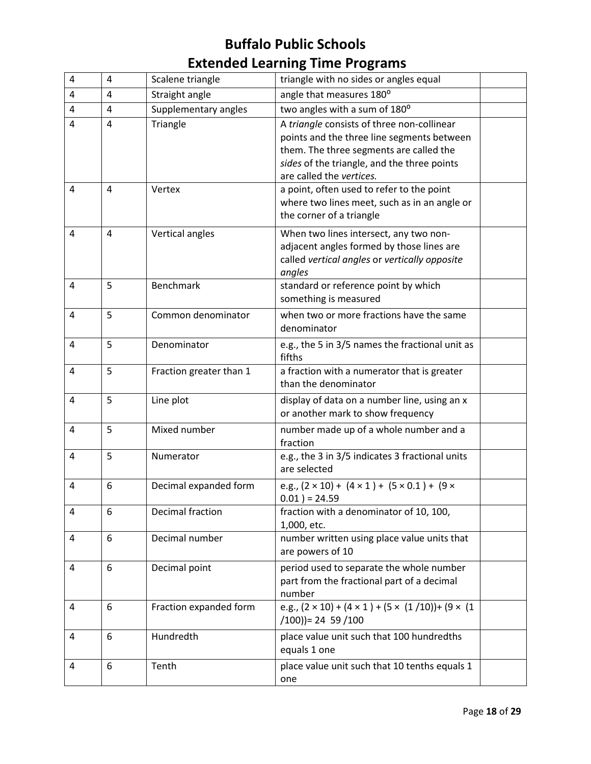| 4 | $\overline{4}$ | Scalene triangle        | triangle with no sides or angles equal                                                                                                                                                                         |  |
|---|----------------|-------------------------|----------------------------------------------------------------------------------------------------------------------------------------------------------------------------------------------------------------|--|
| 4 | $\overline{4}$ | Straight angle          | angle that measures 180°                                                                                                                                                                                       |  |
| 4 | 4              | Supplementary angles    | two angles with a sum of 180°                                                                                                                                                                                  |  |
| 4 | $\overline{4}$ | Triangle                | A triangle consists of three non-collinear<br>points and the three line segments between<br>them. The three segments are called the<br>sides of the triangle, and the three points<br>are called the vertices. |  |
| 4 | 4              | Vertex                  | a point, often used to refer to the point<br>where two lines meet, such as in an angle or<br>the corner of a triangle                                                                                          |  |
| 4 | 4              | Vertical angles         | When two lines intersect, any two non-<br>adjacent angles formed by those lines are<br>called vertical angles or vertically opposite<br>angles                                                                 |  |
| 4 | 5              | Benchmark               | standard or reference point by which<br>something is measured                                                                                                                                                  |  |
| 4 | 5              | Common denominator      | when two or more fractions have the same<br>denominator                                                                                                                                                        |  |
| 4 | 5              | Denominator             | e.g., the 5 in 3/5 names the fractional unit as<br>fifths                                                                                                                                                      |  |
| 4 | 5              | Fraction greater than 1 | a fraction with a numerator that is greater<br>than the denominator                                                                                                                                            |  |
| 4 | 5              | Line plot               | display of data on a number line, using an x<br>or another mark to show frequency                                                                                                                              |  |
| 4 | 5              | Mixed number            | number made up of a whole number and a<br>fraction                                                                                                                                                             |  |
| 4 | 5              | Numerator               | e.g., the 3 in 3/5 indicates 3 fractional units<br>are selected                                                                                                                                                |  |
| 4 | 6              | Decimal expanded form   | e.g., $(2 \times 10) + (4 \times 1) + (5 \times 0.1) + (9 \times 1)$<br>$0.01$ ) = 24.59                                                                                                                       |  |
| 4 | 6              | Decimal fraction        | fraction with a denominator of 10, 100,<br>1,000, etc.                                                                                                                                                         |  |
| 4 | 6              | Decimal number          | number written using place value units that<br>are powers of 10                                                                                                                                                |  |
| 4 | 6              | Decimal point           | period used to separate the whole number<br>part from the fractional part of a decimal<br>number                                                                                                               |  |
| 4 | 6              | Fraction expanded form  | e.g., $(2 \times 10) + (4 \times 1) + (5 \times (1/10)) + (9 \times (1$<br>$(100)$ = 24 59 $(100)$                                                                                                             |  |
| 4 | 6              | Hundredth               | place value unit such that 100 hundredths<br>equals 1 one                                                                                                                                                      |  |
| 4 | 6              | Tenth                   | place value unit such that 10 tenths equals 1<br>one                                                                                                                                                           |  |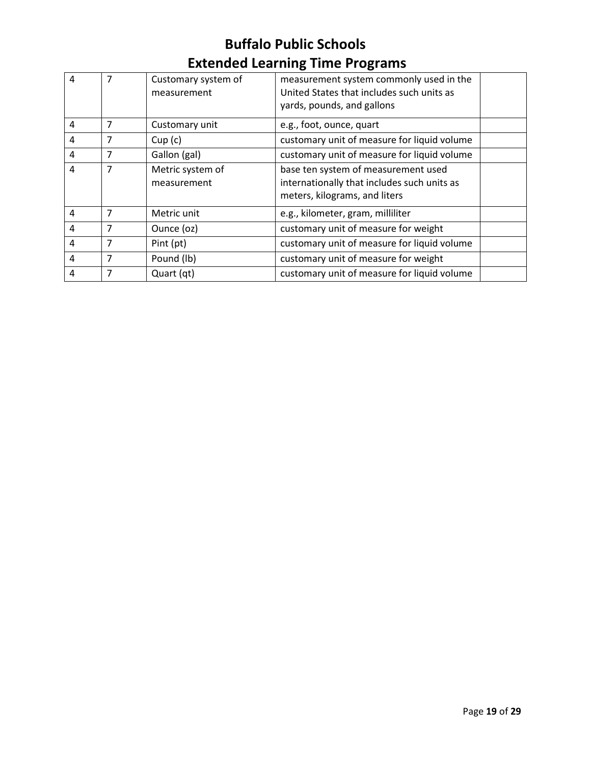| 4 | 7 | Customary system of<br>measurement | measurement system commonly used in the<br>United States that includes such units as<br>yards, pounds, and gallons  |  |
|---|---|------------------------------------|---------------------------------------------------------------------------------------------------------------------|--|
| 4 | 7 | Customary unit                     | e.g., foot, ounce, quart                                                                                            |  |
| 4 | 7 | Cup(c)                             | customary unit of measure for liquid volume                                                                         |  |
| 4 | 7 | Gallon (gal)                       | customary unit of measure for liquid volume                                                                         |  |
| 4 | 7 | Metric system of<br>measurement    | base ten system of measurement used<br>internationally that includes such units as<br>meters, kilograms, and liters |  |
| 4 | 7 | Metric unit                        | e.g., kilometer, gram, milliliter                                                                                   |  |
| 4 | 7 | Ounce (oz)                         | customary unit of measure for weight                                                                                |  |
| 4 | 7 | Pint (pt)                          | customary unit of measure for liquid volume                                                                         |  |
| 4 | 7 | Pound (lb)                         | customary unit of measure for weight                                                                                |  |
| 4 | 7 | Quart (qt)                         | customary unit of measure for liquid volume                                                                         |  |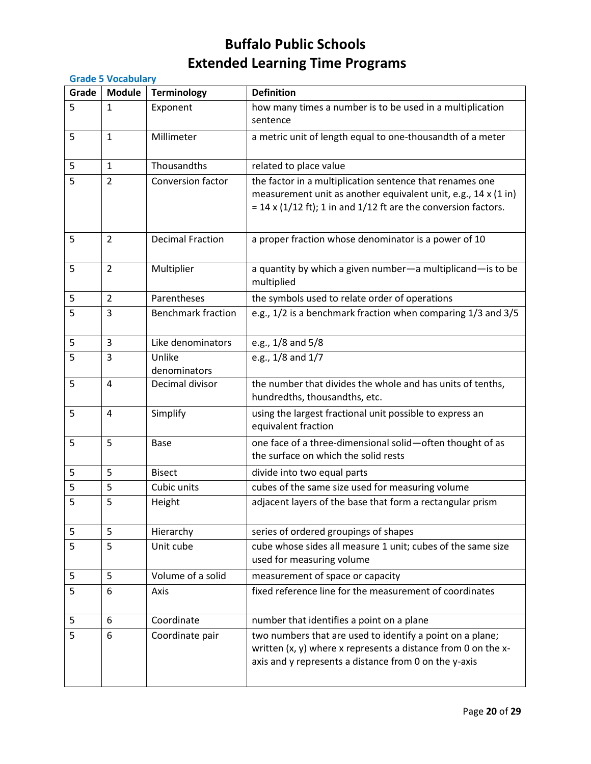|       | <b>Grade 5 Vocabulary</b> |                           |                                                                                                                                                                                                |  |  |
|-------|---------------------------|---------------------------|------------------------------------------------------------------------------------------------------------------------------------------------------------------------------------------------|--|--|
| Grade | <b>Module</b>             | <b>Terminology</b>        | <b>Definition</b>                                                                                                                                                                              |  |  |
| 5     | $\mathbf{1}$              | Exponent                  | how many times a number is to be used in a multiplication<br>sentence                                                                                                                          |  |  |
| 5     | $\mathbf{1}$              | Millimeter                | a metric unit of length equal to one-thousandth of a meter                                                                                                                                     |  |  |
| 5     | $\mathbf{1}$              | Thousandths               | related to place value                                                                                                                                                                         |  |  |
| 5     | $\overline{2}$            | <b>Conversion factor</b>  | the factor in a multiplication sentence that renames one<br>measurement unit as another equivalent unit, e.g., 14 x (1 in)<br>$=$ 14 x (1/12 ft); 1 in and 1/12 ft are the conversion factors. |  |  |
| 5     | $\overline{2}$            | <b>Decimal Fraction</b>   | a proper fraction whose denominator is a power of 10                                                                                                                                           |  |  |
| 5     | $\overline{2}$            | Multiplier                | a quantity by which a given number-a multiplicand-is to be<br>multiplied                                                                                                                       |  |  |
| 5     | $\overline{2}$            | Parentheses               | the symbols used to relate order of operations                                                                                                                                                 |  |  |
| 5     | 3                         | <b>Benchmark fraction</b> | e.g., 1/2 is a benchmark fraction when comparing 1/3 and 3/5                                                                                                                                   |  |  |
| 5     | 3                         | Like denominators         | e.g., 1/8 and 5/8                                                                                                                                                                              |  |  |
| 5     | 3                         | Unlike<br>denominators    | e.g., 1/8 and 1/7                                                                                                                                                                              |  |  |
| 5     | $\overline{4}$            | Decimal divisor           | the number that divides the whole and has units of tenths,<br>hundredths, thousandths, etc.                                                                                                    |  |  |
| 5     | $\overline{4}$            | Simplify                  | using the largest fractional unit possible to express an<br>equivalent fraction                                                                                                                |  |  |
| 5     | 5                         | <b>Base</b>               | one face of a three-dimensional solid-often thought of as<br>the surface on which the solid rests                                                                                              |  |  |
| 5     | 5                         | <b>Bisect</b>             | divide into two equal parts                                                                                                                                                                    |  |  |
| 5     | 5                         | Cubic units               | cubes of the same size used for measuring volume                                                                                                                                               |  |  |
| 5     | 5                         | Height                    | adjacent layers of the base that form a rectangular prism                                                                                                                                      |  |  |
| 5     | 5                         | Hierarchy                 | series of ordered groupings of shapes                                                                                                                                                          |  |  |
| 5     | 5                         | Unit cube                 | cube whose sides all measure 1 unit; cubes of the same size<br>used for measuring volume                                                                                                       |  |  |
| 5     | 5                         | Volume of a solid         | measurement of space or capacity                                                                                                                                                               |  |  |
| 5     | 6                         | Axis                      | fixed reference line for the measurement of coordinates                                                                                                                                        |  |  |
| 5     | 6                         | Coordinate                | number that identifies a point on a plane                                                                                                                                                      |  |  |
| 5     | 6                         | Coordinate pair           | two numbers that are used to identify a point on a plane;<br>written (x, y) where x represents a distance from 0 on the x-<br>axis and y represents a distance from 0 on the y-axis            |  |  |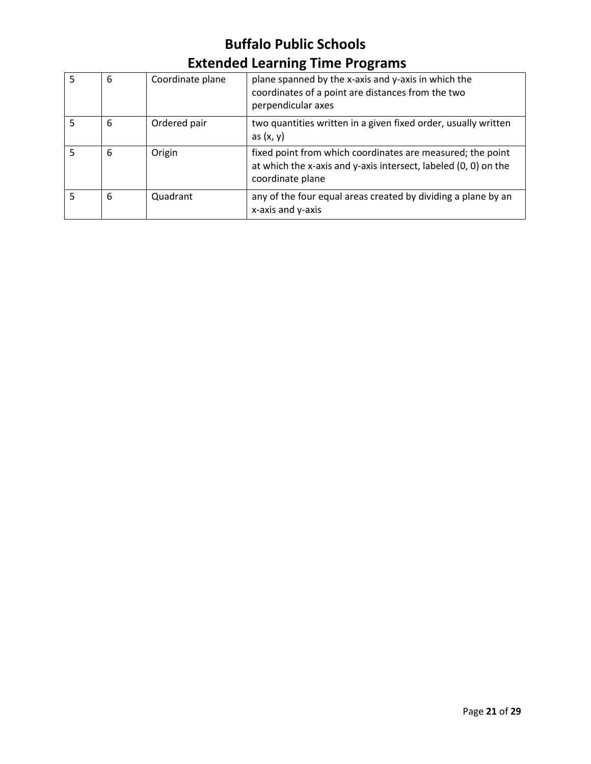| 5 | 6 | Coordinate plane | plane spanned by the x-axis and y-axis in which the<br>coordinates of a point are distances from the two<br>perpendicular axes                    |
|---|---|------------------|---------------------------------------------------------------------------------------------------------------------------------------------------|
| 5 | 6 | Ordered pair     | two quantities written in a given fixed order, usually written<br>as $(x, y)$                                                                     |
|   | 6 | Origin           | fixed point from which coordinates are measured; the point<br>at which the x-axis and y-axis intersect, labeled (0, 0) on the<br>coordinate plane |
|   | 6 | Quadrant         | any of the four equal areas created by dividing a plane by an<br>x-axis and y-axis                                                                |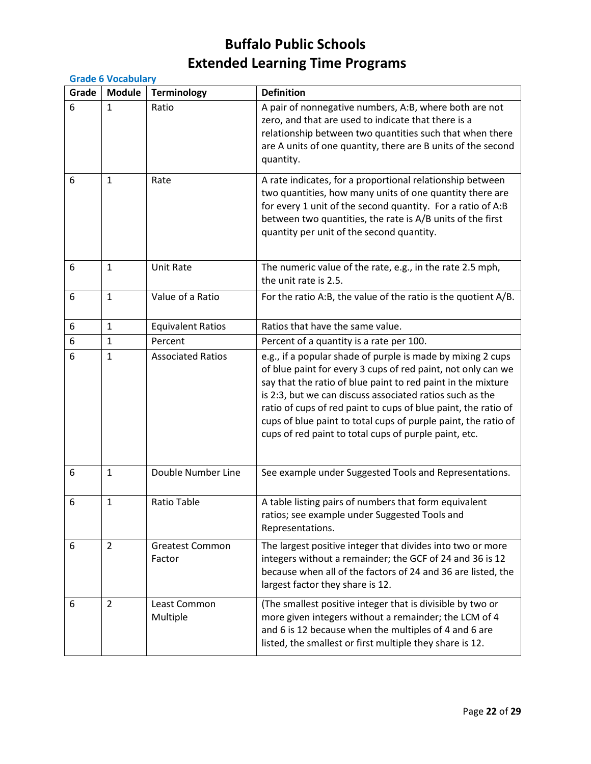|       | <b>Grade 6 Vocabulary</b> |                                  |                                                                                                                                                                                                                                                                                                                                                                                                                                                      |  |  |
|-------|---------------------------|----------------------------------|------------------------------------------------------------------------------------------------------------------------------------------------------------------------------------------------------------------------------------------------------------------------------------------------------------------------------------------------------------------------------------------------------------------------------------------------------|--|--|
| Grade | <b>Module</b>             | <b>Terminology</b>               | <b>Definition</b>                                                                                                                                                                                                                                                                                                                                                                                                                                    |  |  |
| 6     | $\mathbf{1}$              | Ratio                            | A pair of nonnegative numbers, A:B, where both are not<br>zero, and that are used to indicate that there is a<br>relationship between two quantities such that when there<br>are A units of one quantity, there are B units of the second<br>quantity.                                                                                                                                                                                               |  |  |
| 6     | $\mathbf{1}$              | Rate                             | A rate indicates, for a proportional relationship between<br>two quantities, how many units of one quantity there are<br>for every 1 unit of the second quantity. For a ratio of A:B<br>between two quantities, the rate is A/B units of the first<br>quantity per unit of the second quantity.                                                                                                                                                      |  |  |
| 6     | $\mathbf{1}$              | <b>Unit Rate</b>                 | The numeric value of the rate, e.g., in the rate 2.5 mph,<br>the unit rate is 2.5.                                                                                                                                                                                                                                                                                                                                                                   |  |  |
| 6     | $\mathbf{1}$              | Value of a Ratio                 | For the ratio A:B, the value of the ratio is the quotient A/B.                                                                                                                                                                                                                                                                                                                                                                                       |  |  |
| 6     | $\mathbf{1}$              | <b>Equivalent Ratios</b>         | Ratios that have the same value.                                                                                                                                                                                                                                                                                                                                                                                                                     |  |  |
| 6     | 1                         | Percent                          | Percent of a quantity is a rate per 100.                                                                                                                                                                                                                                                                                                                                                                                                             |  |  |
| 6     | 1                         | <b>Associated Ratios</b>         | e.g., if a popular shade of purple is made by mixing 2 cups<br>of blue paint for every 3 cups of red paint, not only can we<br>say that the ratio of blue paint to red paint in the mixture<br>is 2:3, but we can discuss associated ratios such as the<br>ratio of cups of red paint to cups of blue paint, the ratio of<br>cups of blue paint to total cups of purple paint, the ratio of<br>cups of red paint to total cups of purple paint, etc. |  |  |
| 6     | 1                         | Double Number Line               | See example under Suggested Tools and Representations.                                                                                                                                                                                                                                                                                                                                                                                               |  |  |
| 6     | 1                         | <b>Ratio Table</b>               | A table listing pairs of numbers that form equivalent<br>ratios; see example under Suggested Tools and<br>Representations.                                                                                                                                                                                                                                                                                                                           |  |  |
| 6     | $\overline{2}$            | <b>Greatest Common</b><br>Factor | The largest positive integer that divides into two or more<br>integers without a remainder; the GCF of 24 and 36 is 12<br>because when all of the factors of 24 and 36 are listed, the<br>largest factor they share is 12.                                                                                                                                                                                                                           |  |  |
| 6     | $\overline{2}$            | Least Common<br>Multiple         | (The smallest positive integer that is divisible by two or<br>more given integers without a remainder; the LCM of 4<br>and 6 is 12 because when the multiples of 4 and 6 are<br>listed, the smallest or first multiple they share is 12.                                                                                                                                                                                                             |  |  |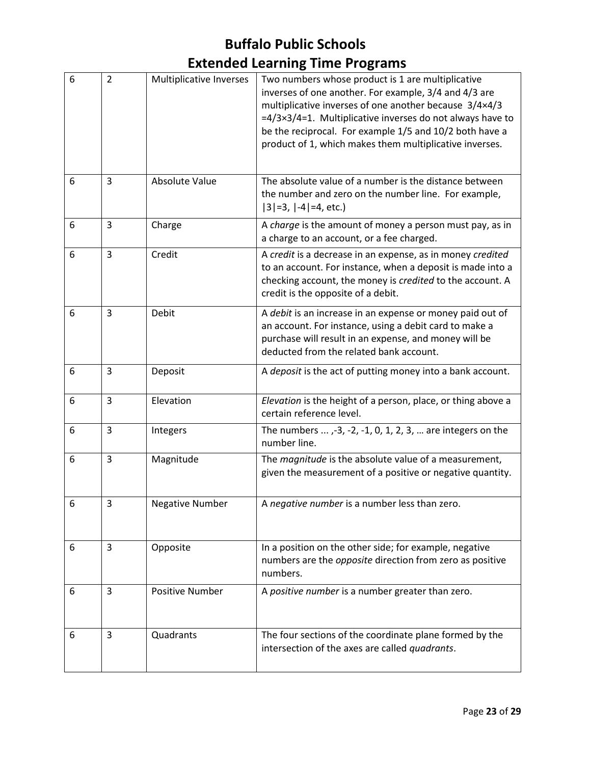| 6 | $\overline{2}$ | Multiplicative Inverses | Two numbers whose product is 1 are multiplicative<br>inverses of one another. For example, 3/4 and 4/3 are<br>multiplicative inverses of one another because 3/4×4/3<br>$=4/3\times3/4=1$ . Multiplicative inverses do not always have to<br>be the reciprocal. For example 1/5 and 10/2 both have a<br>product of 1, which makes them multiplicative inverses. |
|---|----------------|-------------------------|-----------------------------------------------------------------------------------------------------------------------------------------------------------------------------------------------------------------------------------------------------------------------------------------------------------------------------------------------------------------|
| 6 | 3              | Absolute Value          | The absolute value of a number is the distance between<br>the number and zero on the number line. For example,<br>$ 3 =3,  -4 =4, etc.)$                                                                                                                                                                                                                        |
| 6 | 3              | Charge                  | A charge is the amount of money a person must pay, as in<br>a charge to an account, or a fee charged.                                                                                                                                                                                                                                                           |
| 6 | $\overline{3}$ | Credit                  | A credit is a decrease in an expense, as in money credited<br>to an account. For instance, when a deposit is made into a<br>checking account, the money is credited to the account. A<br>credit is the opposite of a debit.                                                                                                                                     |
| 6 | 3              | Debit                   | A debit is an increase in an expense or money paid out of<br>an account. For instance, using a debit card to make a<br>purchase will result in an expense, and money will be<br>deducted from the related bank account.                                                                                                                                         |
| 6 | 3              | Deposit                 | A deposit is the act of putting money into a bank account.                                                                                                                                                                                                                                                                                                      |
| 6 | 3              | Elevation               | Elevation is the height of a person, place, or thing above a<br>certain reference level.                                                                                                                                                                                                                                                                        |
| 6 | 3              | Integers                | The numbers $\dots$ , -3, -2, -1, 0, 1, 2, 3, $\dots$ are integers on the<br>number line.                                                                                                                                                                                                                                                                       |
| 6 | 3              | Magnitude               | The magnitude is the absolute value of a measurement,<br>given the measurement of a positive or negative quantity.                                                                                                                                                                                                                                              |
| 6 | 3              | <b>Negative Number</b>  | A negative number is a number less than zero.                                                                                                                                                                                                                                                                                                                   |
| 6 | 3              | Opposite                | In a position on the other side; for example, negative<br>numbers are the opposite direction from zero as positive<br>numbers.                                                                                                                                                                                                                                  |
| 6 | 3              | <b>Positive Number</b>  | A positive number is a number greater than zero.                                                                                                                                                                                                                                                                                                                |
| 6 | 3              | Quadrants               | The four sections of the coordinate plane formed by the<br>intersection of the axes are called quadrants.                                                                                                                                                                                                                                                       |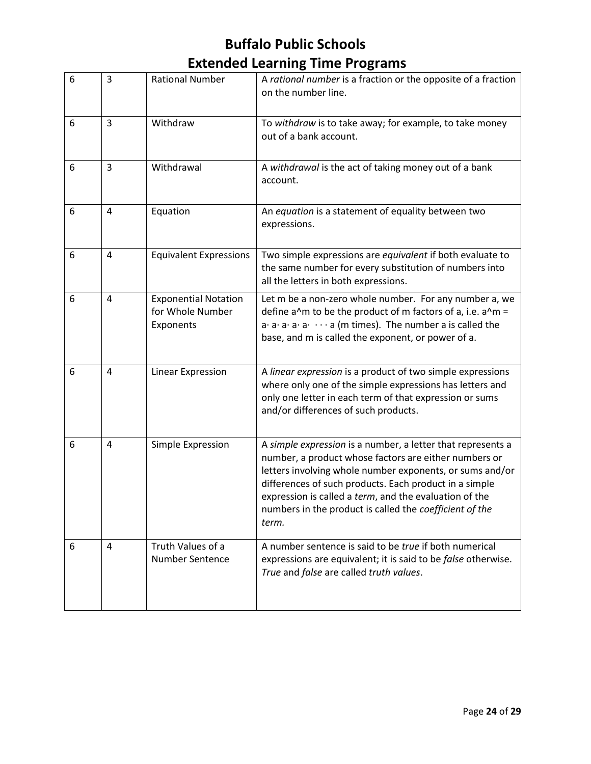| 6 | 3              | <b>Rational Number</b>                                       | A rational number is a fraction or the opposite of a fraction<br>on the number line.                                                                                                                                                                                                                                                                                     |
|---|----------------|--------------------------------------------------------------|--------------------------------------------------------------------------------------------------------------------------------------------------------------------------------------------------------------------------------------------------------------------------------------------------------------------------------------------------------------------------|
| 6 | 3              | Withdraw                                                     | To withdraw is to take away; for example, to take money<br>out of a bank account.                                                                                                                                                                                                                                                                                        |
| 6 | 3              | Withdrawal                                                   | A withdrawal is the act of taking money out of a bank<br>account.                                                                                                                                                                                                                                                                                                        |
| 6 | $\overline{a}$ | Equation                                                     | An equation is a statement of equality between two<br>expressions.                                                                                                                                                                                                                                                                                                       |
| 6 | 4              | <b>Equivalent Expressions</b>                                | Two simple expressions are equivalent if both evaluate to<br>the same number for every substitution of numbers into<br>all the letters in both expressions.                                                                                                                                                                                                              |
| 6 | 4              | <b>Exponential Notation</b><br>for Whole Number<br>Exponents | Let m be a non-zero whole number. For any number a, we<br>define $a^m$ to be the product of m factors of a, i.e. $a^m =$<br>$a \cdot a \cdot a \cdot a \cdot \cdots a$ (m times). The number a is called the<br>base, and m is called the exponent, or power of a.                                                                                                       |
| 6 | $\overline{4}$ | Linear Expression                                            | A linear expression is a product of two simple expressions<br>where only one of the simple expressions has letters and<br>only one letter in each term of that expression or sums<br>and/or differences of such products.                                                                                                                                                |
| 6 | $\overline{4}$ | Simple Expression                                            | A simple expression is a number, a letter that represents a<br>number, a product whose factors are either numbers or<br>letters involving whole number exponents, or sums and/or<br>differences of such products. Each product in a simple<br>expression is called a term, and the evaluation of the<br>numbers in the product is called the coefficient of the<br>term. |
| 6 | 4              | Truth Values of a<br><b>Number Sentence</b>                  | A number sentence is said to be true if both numerical<br>expressions are equivalent; it is said to be false otherwise.<br>True and false are called truth values.                                                                                                                                                                                                       |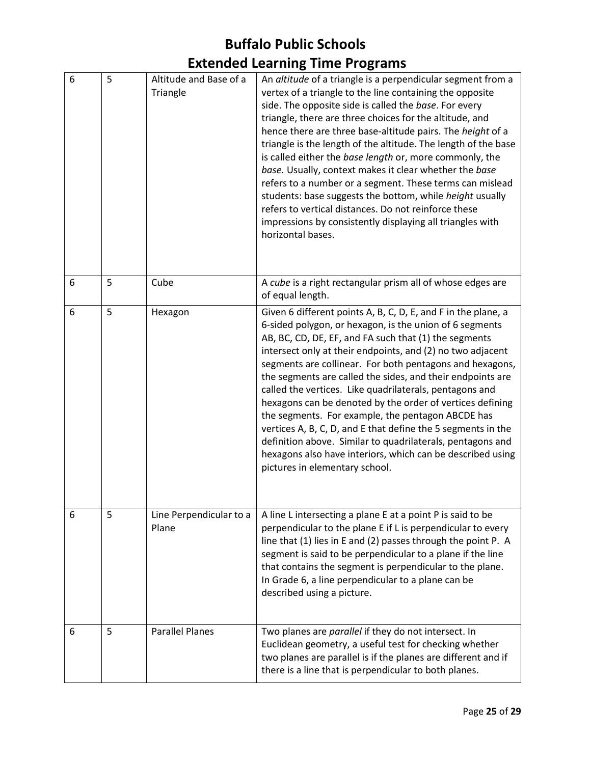| 6 | 5 | Altitude and Base of a<br>Triangle | An altitude of a triangle is a perpendicular segment from a<br>vertex of a triangle to the line containing the opposite<br>side. The opposite side is called the base. For every<br>triangle, there are three choices for the altitude, and<br>hence there are three base-altitude pairs. The height of a<br>triangle is the length of the altitude. The length of the base<br>is called either the base length or, more commonly, the<br>base. Usually, context makes it clear whether the base<br>refers to a number or a segment. These terms can mislead<br>students: base suggests the bottom, while height usually<br>refers to vertical distances. Do not reinforce these<br>impressions by consistently displaying all triangles with<br>horizontal bases.                   |
|---|---|------------------------------------|--------------------------------------------------------------------------------------------------------------------------------------------------------------------------------------------------------------------------------------------------------------------------------------------------------------------------------------------------------------------------------------------------------------------------------------------------------------------------------------------------------------------------------------------------------------------------------------------------------------------------------------------------------------------------------------------------------------------------------------------------------------------------------------|
| 6 | 5 | Cube                               | A cube is a right rectangular prism all of whose edges are<br>of equal length.                                                                                                                                                                                                                                                                                                                                                                                                                                                                                                                                                                                                                                                                                                       |
| 6 | 5 | Hexagon                            | Given 6 different points A, B, C, D, E, and F in the plane, a<br>6-sided polygon, or hexagon, is the union of 6 segments<br>AB, BC, CD, DE, EF, and FA such that (1) the segments<br>intersect only at their endpoints, and (2) no two adjacent<br>segments are collinear. For both pentagons and hexagons,<br>the segments are called the sides, and their endpoints are<br>called the vertices. Like quadrilaterals, pentagons and<br>hexagons can be denoted by the order of vertices defining<br>the segments. For example, the pentagon ABCDE has<br>vertices A, B, C, D, and E that define the 5 segments in the<br>definition above. Similar to quadrilaterals, pentagons and<br>hexagons also have interiors, which can be described using<br>pictures in elementary school. |
| 6 | 5 | Line Perpendicular to a<br>Plane   | A line L intersecting a plane E at a point P is said to be<br>perpendicular to the plane E if L is perpendicular to every<br>line that (1) lies in E and (2) passes through the point P. A<br>segment is said to be perpendicular to a plane if the line<br>that contains the segment is perpendicular to the plane.<br>In Grade 6, a line perpendicular to a plane can be<br>described using a picture.                                                                                                                                                                                                                                                                                                                                                                             |
| 6 | 5 | <b>Parallel Planes</b>             | Two planes are parallel if they do not intersect. In<br>Euclidean geometry, a useful test for checking whether<br>two planes are parallel is if the planes are different and if<br>there is a line that is perpendicular to both planes.                                                                                                                                                                                                                                                                                                                                                                                                                                                                                                                                             |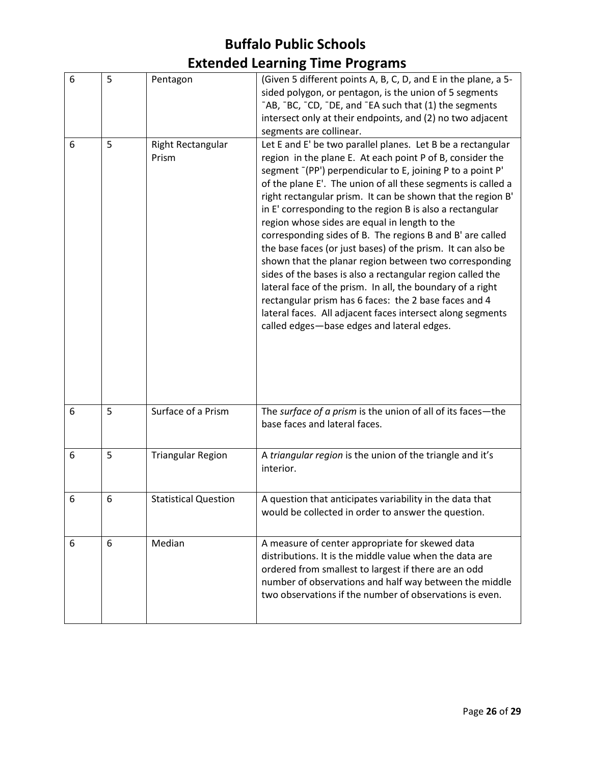| 6 | 5 | Pentagon                    | (Given 5 different points A, B, C, D, and E in the plane, a 5-<br>sided polygon, or pentagon, is the union of 5 segments<br>"AB, "BC, "CD, "DE, and "EA such that (1) the segments<br>intersect only at their endpoints, and (2) no two adjacent<br>segments are collinear.                                                                                                                                                                                                                                                                                                                                                                                                                                                                                                                                                                                                                                               |
|---|---|-----------------------------|---------------------------------------------------------------------------------------------------------------------------------------------------------------------------------------------------------------------------------------------------------------------------------------------------------------------------------------------------------------------------------------------------------------------------------------------------------------------------------------------------------------------------------------------------------------------------------------------------------------------------------------------------------------------------------------------------------------------------------------------------------------------------------------------------------------------------------------------------------------------------------------------------------------------------|
| 6 | 5 | Right Rectangular<br>Prism  | Let E and E' be two parallel planes. Let B be a rectangular<br>region in the plane E. At each point P of B, consider the<br>segment [PP') perpendicular to E, joining P to a point P'<br>of the plane E'. The union of all these segments is called a<br>right rectangular prism. It can be shown that the region B'<br>in E' corresponding to the region B is also a rectangular<br>region whose sides are equal in length to the<br>corresponding sides of B. The regions B and B' are called<br>the base faces (or just bases) of the prism. It can also be<br>shown that the planar region between two corresponding<br>sides of the bases is also a rectangular region called the<br>lateral face of the prism. In all, the boundary of a right<br>rectangular prism has 6 faces: the 2 base faces and 4<br>lateral faces. All adjacent faces intersect along segments<br>called edges-base edges and lateral edges. |
| 6 | 5 | Surface of a Prism          | The surface of a prism is the union of all of its faces-the<br>base faces and lateral faces.                                                                                                                                                                                                                                                                                                                                                                                                                                                                                                                                                                                                                                                                                                                                                                                                                              |
| 6 | 5 | <b>Triangular Region</b>    | A triangular region is the union of the triangle and it's<br>interior.                                                                                                                                                                                                                                                                                                                                                                                                                                                                                                                                                                                                                                                                                                                                                                                                                                                    |
| 6 | 6 | <b>Statistical Question</b> | A question that anticipates variability in the data that<br>would be collected in order to answer the question.                                                                                                                                                                                                                                                                                                                                                                                                                                                                                                                                                                                                                                                                                                                                                                                                           |
| 6 | 6 | Median                      | A measure of center appropriate for skewed data<br>distributions. It is the middle value when the data are<br>ordered from smallest to largest if there are an odd<br>number of observations and half way between the middle<br>two observations if the number of observations is even.                                                                                                                                                                                                                                                                                                                                                                                                                                                                                                                                                                                                                                   |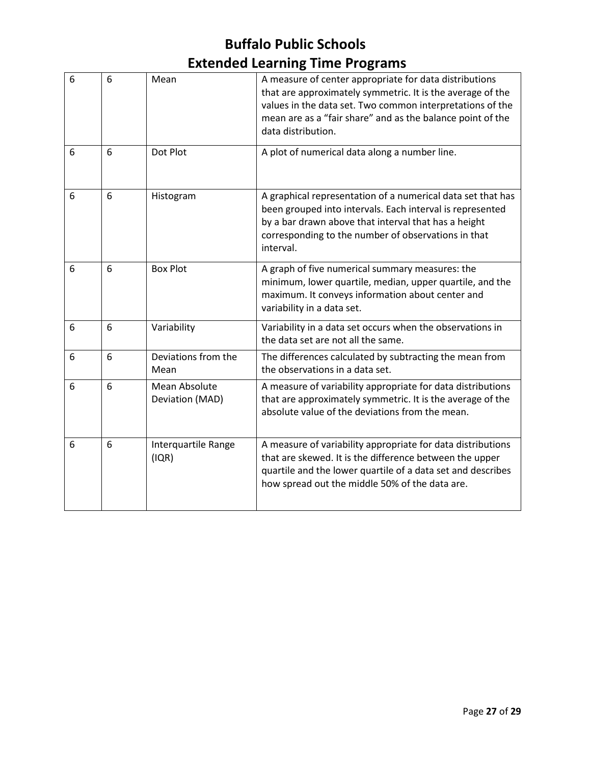| 6 | 6 | Mean                             | A measure of center appropriate for data distributions<br>that are approximately symmetric. It is the average of the<br>values in the data set. Two common interpretations of the<br>mean are as a "fair share" and as the balance point of the<br>data distribution. |
|---|---|----------------------------------|-----------------------------------------------------------------------------------------------------------------------------------------------------------------------------------------------------------------------------------------------------------------------|
| 6 | 6 | Dot Plot                         | A plot of numerical data along a number line.                                                                                                                                                                                                                         |
| 6 | 6 | Histogram                        | A graphical representation of a numerical data set that has<br>been grouped into intervals. Each interval is represented<br>by a bar drawn above that interval that has a height<br>corresponding to the number of observations in that<br>interval.                  |
| 6 | 6 | <b>Box Plot</b>                  | A graph of five numerical summary measures: the<br>minimum, lower quartile, median, upper quartile, and the<br>maximum. It conveys information about center and<br>variability in a data set.                                                                         |
| 6 | 6 | Variability                      | Variability in a data set occurs when the observations in<br>the data set are not all the same.                                                                                                                                                                       |
| 6 | 6 | Deviations from the<br>Mean      | The differences calculated by subtracting the mean from<br>the observations in a data set.                                                                                                                                                                            |
| 6 | 6 | Mean Absolute<br>Deviation (MAD) | A measure of variability appropriate for data distributions<br>that are approximately symmetric. It is the average of the<br>absolute value of the deviations from the mean.                                                                                          |
| 6 | 6 | Interquartile Range<br>(IQR)     | A measure of variability appropriate for data distributions<br>that are skewed. It is the difference between the upper<br>quartile and the lower quartile of a data set and describes<br>how spread out the middle 50% of the data are.                               |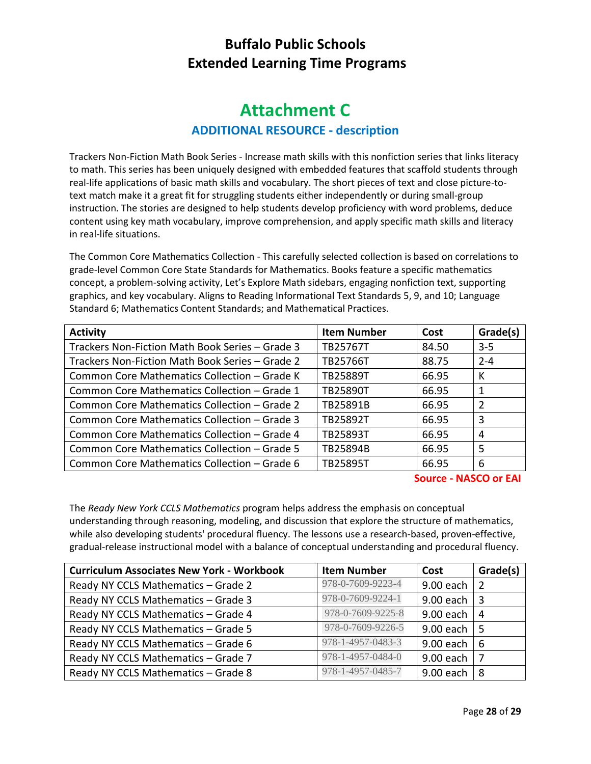#### **Attachment C ADDITIONAL RESOURCE - description**

Trackers Non-Fiction Math Book Series - Increase math skills with this nonfiction series that links literacy to math. This series has been uniquely designed with embedded features that scaffold students through real-life applications of basic math skills and vocabulary. The short pieces of text and close picture-totext match make it a great fit for struggling students either independently or during small-group instruction. The stories are designed to help students develop proficiency with word problems, deduce content using key math vocabulary, improve comprehension, and apply specific math skills and literacy in real-life situations.

The Common Core Mathematics Collection - This carefully selected collection is based on correlations to grade-level Common Core State Standards for Mathematics. Books feature a specific mathematics concept, a problem-solving activity, Let's Explore Math sidebars, engaging nonfiction text, supporting graphics, and key vocabulary. Aligns to Reading Informational Text Standards 5, 9, and 10; Language Standard 6; Mathematics Content Standards; and Mathematical Practices.

| <b>Activity</b>                                 | <b>Item Number</b> | Cost  | Grade(s) |
|-------------------------------------------------|--------------------|-------|----------|
| Trackers Non-Fiction Math Book Series - Grade 3 | TB25767T           | 84.50 | $3-5$    |
| Trackers Non-Fiction Math Book Series - Grade 2 | TB25766T           | 88.75 | $2 - 4$  |
| Common Core Mathematics Collection - Grade K    | TB25889T           | 66.95 | К        |
| Common Core Mathematics Collection - Grade 1    | <b>TB25890T</b>    | 66.95 | 1        |
| Common Core Mathematics Collection – Grade 2    | TB25891B           | 66.95 | 2        |
| Common Core Mathematics Collection - Grade 3    | TB25892T           | 66.95 | 3        |
| Common Core Mathematics Collection - Grade 4    | <b>TB25893T</b>    | 66.95 | 4        |
| Common Core Mathematics Collection - Grade 5    | TB25894B           | 66.95 | 5        |
| Common Core Mathematics Collection - Grade 6    | <b>TB25895T</b>    | 66.95 | 6        |

**Source - NASCO or EAI**

The *Ready New York CCLS Mathematics* program helps address the emphasis on conceptual understanding through reasoning, modeling, and discussion that explore the structure of mathematics, while also developing students' procedural fluency. The lessons use a research-based, proven-effective, gradual-release instructional model with a balance of conceptual understanding and procedural fluency.

| <b>Curriculum Associates New York - Workbook</b> | <b>Item Number</b> | Cost      | Grade(s) |
|--------------------------------------------------|--------------------|-----------|----------|
| Ready NY CCLS Mathematics - Grade 2              | 978-0-7609-9223-4  | 9.00 each | -2       |
| Ready NY CCLS Mathematics - Grade 3              | 978-0-7609-9224-1  | 9.00 each | -3       |
| Ready NY CCLS Mathematics - Grade 4              | 978-0-7609-9225-8  | 9.00 each | 4        |
| Ready NY CCLS Mathematics - Grade 5              | 978-0-7609-9226-5  | 9.00 each | -5       |
| Ready NY CCLS Mathematics - Grade 6              | 978-1-4957-0483-3  | 9.00 each | - 6      |
| Ready NY CCLS Mathematics - Grade 7              | 978-1-4957-0484-0  | 9.00 each | - 7      |
| Ready NY CCLS Mathematics - Grade 8              | 978-1-4957-0485-7  | 9.00 each | -8       |